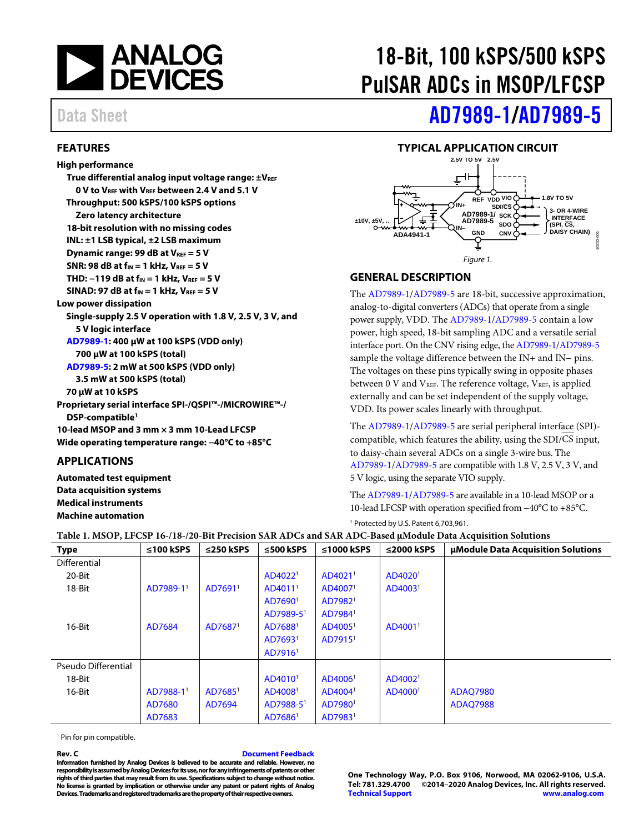

# <span id="page-0-0"></span>**FEATURES**

**High performance** 

**True differential analog input voltage range:**  $\pm V_{REF}$ **0 V to VREF with VREF between 2.4 V and 5.1 V Throughput: 500 kSPS/100 kSPS options Zero latency architecture 18-bit resolution with no missing codes INL: ±1 LSB typical, ±2 LSB maximum Dynamic range: 99 dB at VREF = 5 V SNR: 98 dB at fIN = 1 kHz, VREF = 5 V THD: −119 dB at fIN = 1 kHz, VREF = 5 V SINAD: 97 dB at fIN = 1 kHz, VREF = 5 V Low power dissipation Single-supply 2.5 V operation with 1.8 V, 2.5 V, 3 V, and 5 V logic interface [AD7989-1:](http://www.analog.com/AD7989-1?doc=ad7989-1_7989-5.pdf) 400 µW at 100 kSPS (VDD only) 700 µW at 100 kSPS (total) [AD7989-5:](http://www.analog.com/AD7989-5?doc=ad7989-1_7989-5.pdf) 2 mW at 500 kSPS (VDD only) 3.5 mW at 500 kSPS (total) 70 µW at 10 kSPS Proprietary serial interface SPI-/QSPI™-/MICROWIRE™-/ DSP-compatible1 10-lead MSOP and 3 mm × 3 mm 10-Lead LFCSP Wide operating temperature range: −40°C to +85°C**

# <span id="page-0-1"></span>**APPLICATIONS**

**Automated test equipment Data acquisition systems Medical instruments Machine automation**

# 18-Bit, 100 kSPS/500 kSPS PulSAR ADCs in MSOP/LFCSP

# Data Sheet **[AD7989-1/](http://www.analog.com/AD7989-1?doc=ad7989-1_7989-5.pdf)[AD7989-5](http://www.analog.com/AD7989-5?doc=ad7989-1_7989-5.pdf)**

# **TYPICAL APPLICATION CIRCUIT**

<span id="page-0-2"></span>

# <span id="page-0-3"></span>**GENERAL DESCRIPTION**

The [AD7989-1/](http://www.analog.com/AD7989-1?doc=ad7989-1_7989-5.pdf)[AD7989-5](http://www.analog.com/AD7989-5?doc=ad7989-1_7989-5.pdf) are 18-bit, successive approximation, analog-to-digital converters (ADCs) that operate from a single power supply, VDD. The [AD7989-1/](http://www.analog.com/AD7989-1?doc=ad7989-1_7989-5.pdf)[AD7989-5](http://www.analog.com/AD7989-5?doc=ad7989-1_7989-5.pdf) contain a low power, high speed, 18-bit sampling ADC and a versatile serial interface port. On the CNV rising edge, th[e AD7989-1](http://www.analog.com/AD7989-1?doc=ad7989-1_7989-5.pdf)[/AD7989-5](http://www.analog.com/AD7989-5?doc=ad7989-1_7989-5.pdf) sample the voltage difference between the IN+ and IN− pins. The voltages on these pins typically swing in opposite phases between 0 V and  $V_{REF}$ . The reference voltage,  $V_{REF}$ , is applied externally and can be set independent of the supply voltage, VDD. Its power scales linearly with throughput.

The [AD7989-1/](http://www.analog.com/AD7989-1?doc=ad7989-1_7989-5.pdf)[AD7989-5](http://www.analog.com/AD7989-5?doc=ad7989-1_7989-5.pdf) are serial peripheral interface (SPI) compatible, which features the ability, using the SDI/CS input, to daisy-chain several ADCs on a single 3-wire bus. The [AD7989-1/](http://www.analog.com/AD7989-1?doc=ad7989-1_7989-5.pdf)[AD7989-5](http://www.analog.com/AD7989-5?doc=ad7989-1_7989-5.pdf) are compatible with 1.8 V, 2.5 V, 3 V, and 5 V logic, using the separate VIO supply.

Th[e AD7989-1](http://www.analog.com/AD7989-1?doc=ad7989-1_7989-5.pdf)[/AD7989-5](http://www.analog.com/AD7989-5?doc=ad7989-1_7989-5.pdf) are available in a 10-lead MSOP or a 10-lead LFCSP with operation specified from −40°C to +85°C.

<sup>1</sup> Protected by U.S. Patent 6,703,961.

| Table 1. MSOP, LFCSP 16-/18-/20-Bit Precision SAR ADCs and SAR ADC-Based µModule Data Acquisition Solutions |  |
|-------------------------------------------------------------------------------------------------------------|--|
|-------------------------------------------------------------------------------------------------------------|--|

| <b>Type</b>         | ≤100 kSPS             | $\leq$ 250 kSPS     | $\leq$ 500 kSPS       | ≤1000 $kSPS$        | $\leq$ 2000 kSPS    | <b>uModule Data Acquisition Solutions</b> |
|---------------------|-----------------------|---------------------|-----------------------|---------------------|---------------------|-------------------------------------------|
| <b>Differential</b> |                       |                     |                       |                     |                     |                                           |
| 20-Bit              |                       |                     | AD4022 <sup>1</sup>   | AD4021 <sup>1</sup> | AD4020 <sup>1</sup> |                                           |
| 18-Bit              | AD7989-1 <sup>1</sup> | AD7691 <sup>1</sup> | AD4011 <sup>1</sup>   | AD4007 <sup>1</sup> | AD4003 <sup>1</sup> |                                           |
|                     |                       |                     | AD7690 <sup>1</sup>   | AD7982 <sup>1</sup> |                     |                                           |
|                     |                       |                     | AD7989-5 <sup>1</sup> | AD7984 <sup>1</sup> |                     |                                           |
| 16-Bit              | AD7684                | AD7687 <sup>1</sup> | AD7688 <sup>1</sup>   | AD4005 <sup>1</sup> | AD4001 <sup>1</sup> |                                           |
|                     |                       |                     | AD7693 <sup>1</sup>   | AD7915 <sup>1</sup> |                     |                                           |
|                     |                       |                     | AD7916 <sup>1</sup>   |                     |                     |                                           |
| Pseudo Differential |                       |                     |                       |                     |                     |                                           |
| 18-Bit              |                       |                     | AD4010 <sup>1</sup>   | AD4006 <sup>1</sup> | AD4002 <sup>1</sup> |                                           |
| 16-Bit              | AD7988-1 <sup>1</sup> | AD7685 <sup>1</sup> | AD4008 <sup>1</sup>   | AD4004 <sup>1</sup> | AD4000 <sup>1</sup> | <b>ADAO7980</b>                           |
|                     | AD7680                | AD7694              | AD7988-5 <sup>1</sup> | AD7980 <sup>1</sup> |                     | <b>ADAO7988</b>                           |
|                     | AD7683                |                     | AD7686 <sup>1</sup>   | AD7983 <sup>1</sup> |                     |                                           |

<sup>1</sup> Pin for pin compatible.

**Rev. C [Document Feedback](https://form.analog.com/Form_Pages/feedback/documentfeedback.aspx?doc=AD7989-1_AD7989-5.pdf&product=AD7989-1_AD7989-5&rev=C)**

**Information furnished by Analog Devices is believed to be accurate and reliable. However, no responsibility is assumed by Analog Devices for its use, nor for any infringements of patents or other rights of third parties that may result from its use. Specifications subject to change without notice. No license is granted by implication or otherwise under any patent or patent rights of Analog Devices. Trademarks and registered trademarks are the property of their respective owners.**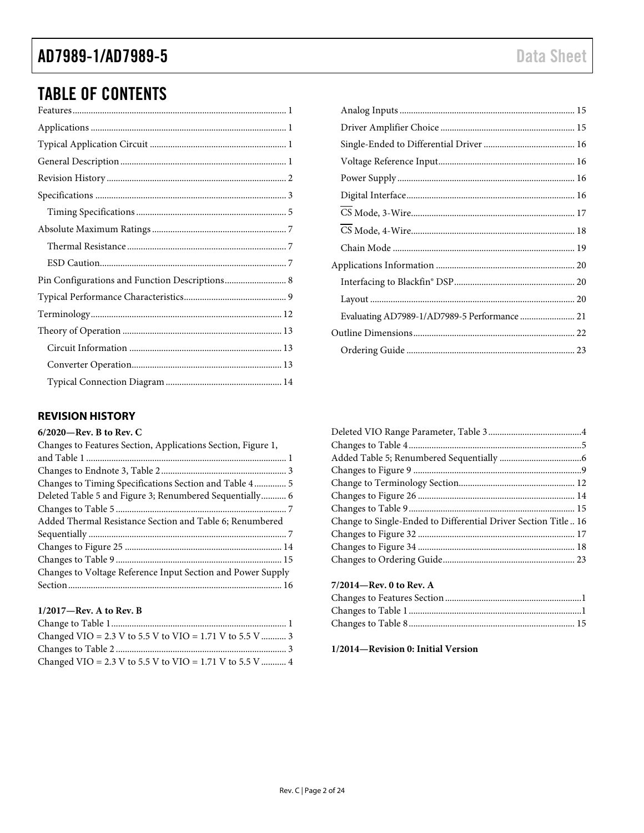# AD7989-1/AD7989-5

# **TABLE OF CONTENTS**

# <span id="page-1-0"></span>**REVISION HISTORY**

## $6/2020$ —Rev. B to Rev. C

| Changes to Features Section, Applications Section, Figure 1, |
|--------------------------------------------------------------|
|                                                              |
|                                                              |
| Changes to Timing Specifications Section and Table 4 5       |
| Deleted Table 5 and Figure 3; Renumbered Sequentially 6      |
|                                                              |
| Added Thermal Resistance Section and Table 6; Renumbered     |
|                                                              |
|                                                              |
|                                                              |
| Changes to Voltage Reference Input Section and Power Supply  |
|                                                              |

## $1/2017$ –Rev. A to Rev. B

| Changed VIO = 2.3 V to 5.5 V to VIO = 1.71 V to 5.5 V  3 |  |
|----------------------------------------------------------|--|
|                                                          |  |
| Changed VIO = 2.3 V to 5.5 V to VIO = 1.71 V to 5.5 V  4 |  |

| Evaluating AD7989-1/AD7989-5 Performance  21 |  |
|----------------------------------------------|--|
|                                              |  |
|                                              |  |
|                                              |  |

| Change to Single-Ended to Differential Driver Section Title16 |  |
|---------------------------------------------------------------|--|
|                                                               |  |
|                                                               |  |
|                                                               |  |
|                                                               |  |

# 7/2014-Rev. 0 to Rev. A

# 1/2014-Revision 0: Initial Version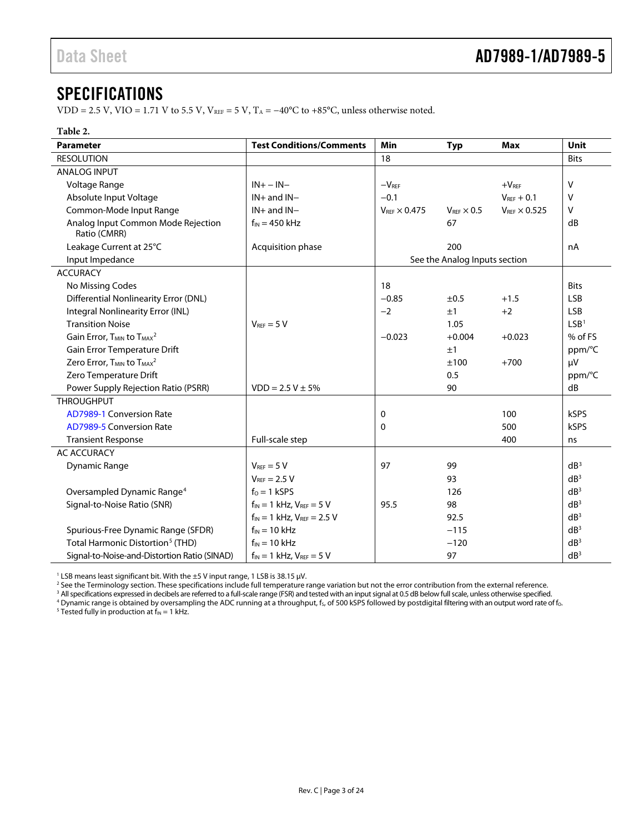# <span id="page-2-0"></span>SPECIFICATIONS

VDD = 2.5 V, VIO = 1.71 V to 5.5 V, V<sub>REF</sub> = 5 V, T<sub>A</sub> =  $-40^{\circ}$ C to +85 $^{\circ}$ C, unless otherwise noted.

## <span id="page-2-1"></span>**Table 2.**

| <b>Parameter</b>                                              | <b>Test Conditions/Comments</b>     | <b>Min</b>                    | <b>Typ</b>                    | <b>Max</b>               | Unit             |
|---------------------------------------------------------------|-------------------------------------|-------------------------------|-------------------------------|--------------------------|------------------|
| <b>RESOLUTION</b>                                             |                                     | 18                            |                               |                          | <b>Bits</b>      |
| <b>ANALOG INPUT</b>                                           |                                     |                               |                               |                          |                  |
| Voltage Range                                                 | $IN + - IN -$                       | $-VREF$                       |                               | $+VREF$                  | v                |
| Absolute Input Voltage                                        | $IN+$ and $IN-$                     | $-0.1$                        |                               | $V_{REF} + 0.1$          | v                |
| Common-Mode Input Range                                       | $IN+$ and $IN-$                     | $V_{\text{RFE}} \times 0.475$ | $V_{\text{RFE}} \times 0.5$   | $V_{REF}$ $\times$ 0.525 | V                |
| Analog Input Common Mode Rejection<br>Ratio (CMRR)            | $f_{IN}$ = 450 kHz                  |                               | 67                            |                          | dB               |
| Leakage Current at 25°C                                       | Acquisition phase                   |                               | 200                           |                          | nA               |
| Input Impedance                                               |                                     |                               | See the Analog Inputs section |                          |                  |
| <b>ACCURACY</b>                                               |                                     |                               |                               |                          |                  |
| No Missing Codes                                              |                                     | 18                            |                               |                          | <b>Bits</b>      |
| <b>Differential Nonlinearity Error (DNL)</b>                  |                                     | $-0.85$                       | ±0.5                          | $+1.5$                   | <b>LSB</b>       |
| Integral Nonlinearity Error (INL)                             |                                     | $-2$                          | ±1                            | $+2$                     | <b>LSB</b>       |
| <b>Transition Noise</b>                                       | $V_{REF} = 5 V$                     |                               | 1.05                          |                          | LSB <sup>1</sup> |
| Gain Error, T <sub>MIN</sub> to T <sub>MAX</sub> <sup>2</sup> |                                     | $-0.023$                      | $+0.004$                      | $+0.023$                 | % of FS          |
| Gain Error Temperature Drift                                  |                                     |                               | ±1                            |                          | ppm/°C           |
| Zero Error, T <sub>MIN</sub> to T <sub>MAX</sub> <sup>2</sup> |                                     |                               | ±100                          | $+700$                   | μV               |
| Zero Temperature Drift                                        |                                     |                               | 0.5                           |                          | ppm/°C           |
| Power Supply Rejection Ratio (PSRR)                           | $VDD = 2.5 V \pm 5\%$               |                               | 90                            |                          | dB               |
| <b>THROUGHPUT</b>                                             |                                     |                               |                               |                          |                  |
| AD7989-1 Conversion Rate                                      |                                     | 0                             |                               | 100                      | <b>kSPS</b>      |
| <b>AD7989-5 Conversion Rate</b>                               |                                     | 0                             |                               | 500                      | <b>kSPS</b>      |
| <b>Transient Response</b>                                     | Full-scale step                     |                               |                               | 400                      | ns               |
| <b>AC ACCURACY</b>                                            |                                     |                               |                               |                          |                  |
| <b>Dynamic Range</b>                                          | $V_{REF} = 5 V$                     | 97                            | 99                            |                          | dB <sup>3</sup>  |
|                                                               | $V_{\text{RFE}} = 2.5 V$            |                               | 93                            |                          | dB <sup>3</sup>  |
| Oversampled Dynamic Range <sup>4</sup>                        | $f_0 = 1$ kSPS                      |                               | 126                           |                          | dB <sup>3</sup>  |
| Signal-to-Noise Ratio (SNR)                                   | $f_{IN} = 1$ kHz, $V_{REF} = 5$ V   | 95.5                          | 98                            |                          | dB <sup>3</sup>  |
|                                                               | $f_{IN} = 1$ kHz, $V_{REF} = 2.5$ V |                               | 92.5                          |                          | dR <sup>3</sup>  |
| Spurious-Free Dynamic Range (SFDR)                            | $f_{IN} = 10$ kHz                   |                               | $-115$                        |                          | dB <sup>3</sup>  |
| Total Harmonic Distortion <sup>5</sup> (THD)                  | $f_{IN} = 10$ kHz                   |                               | $-120$                        |                          | dB <sup>3</sup>  |
| Signal-to-Noise-and-Distortion Ratio (SINAD)                  | $f_{IN} = 1$ kHz, $V_{REF} = 5$ V   |                               | 97                            |                          | dB <sup>3</sup>  |

<sup>1</sup> LSB means least significant bit. With the  $\pm$ 5 V input range, 1 LSB is 38.15  $\mu$ V.

<sup>2</sup> See th[e Terminology](#page-11-0) section. These specifications include full temperature range variation but not the error contribution from the external reference.

<sup>3</sup> All specifications expressed in decibels are referred to a full-scale range (FSR) and tested with an input signal at 0.5 dB below full scale, unless otherwise specified.

 $^4$  Dynamic range is obtained by oversampling the ADC running at a throughput, f $_{\rm s}$  of 500 kSPS followed by postdigital filtering with an output word rate of fo.

<sup>5</sup> Tested fully in production at  $f_{IN} = 1$  kHz.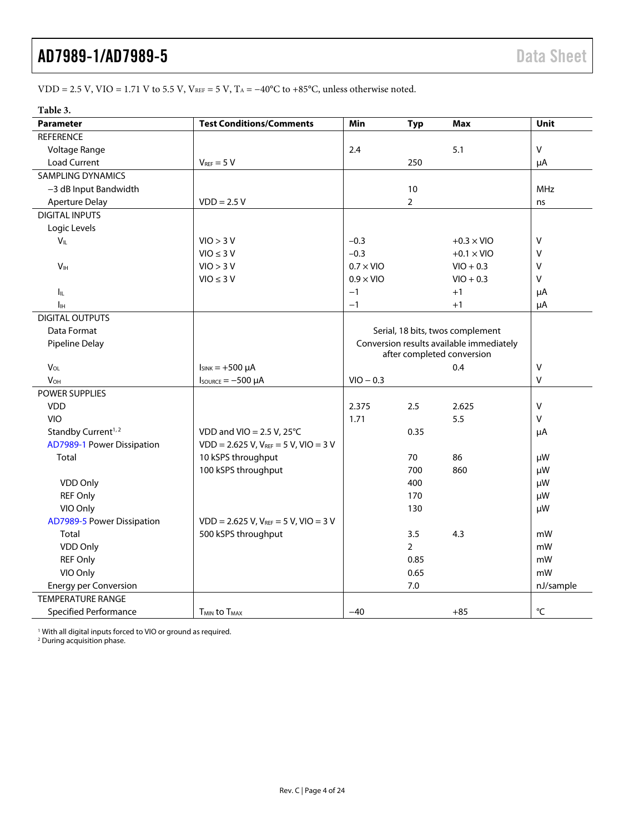# VDD = 2.5 V, VIO = 1.71 V to 5.5 V, VREF = 5 V, T<sub>A</sub> =  $-40^{\circ}$ C to +85 $^{\circ}$ C, unless otherwise noted.

## **Table 3.**

| Parameter                      | <b>Test Conditions/Comments</b>           | Min                                      | <b>Typ</b>     | <b>Max</b>                       | Unit              |
|--------------------------------|-------------------------------------------|------------------------------------------|----------------|----------------------------------|-------------------|
| <b>REFERENCE</b>               |                                           |                                          |                |                                  |                   |
| Voltage Range                  |                                           | 2.4                                      |                | 5.1                              | $\vee$            |
| <b>Load Current</b>            | $V_{REF} = 5 V$                           |                                          | 250            |                                  | μA                |
| <b>SAMPLING DYNAMICS</b>       |                                           |                                          |                |                                  |                   |
| -3 dB Input Bandwidth          |                                           |                                          | 10             |                                  | <b>MHz</b>        |
| <b>Aperture Delay</b>          | $VDD = 2.5 V$                             |                                          | $\overline{2}$ |                                  | ns                |
| <b>DIGITAL INPUTS</b>          |                                           |                                          |                |                                  |                   |
| Logic Levels                   |                                           |                                          |                |                                  |                   |
| $V_{IL}$                       | VIO > 3 V                                 | $-0.3$                                   |                | $+0.3 \times$ VIO                | $\vee$            |
|                                | $VIO \leq 3 V$                            | $-0.3$                                   |                | $+0.1 \times$ VIO                | $\vee$            |
| V <sub>IH</sub>                | VIO > 3 V                                 | $0.7 \times$ VIO                         |                | $VIO + 0.3$                      | V                 |
|                                | $VIO \leq 3 V$                            | $0.9 \times$ VIO                         |                | $VIO + 0.3$                      | V                 |
| Ιı                             |                                           | $-1$                                     |                | $+1$                             | μA                |
| Īн                             |                                           | $-1$                                     |                | $+1$                             | μA                |
| <b>DIGITAL OUTPUTS</b>         |                                           |                                          |                |                                  |                   |
| Data Format                    |                                           |                                          |                | Serial, 18 bits, twos complement |                   |
| Pipeline Delay                 |                                           | Conversion results available immediately |                |                                  |                   |
|                                |                                           |                                          |                | after completed conversion       |                   |
| $V_{OL}$                       | $I_{SINK} = +500 \mu A$                   |                                          |                | 0.4                              | $\vee$            |
| $V_{OH}$                       | $I_{\text{SOWRCE}} = -500 \mu A$          | $VIO - 0.3$                              |                |                                  | $\vee$            |
| POWER SUPPLIES                 |                                           |                                          |                |                                  |                   |
| <b>VDD</b>                     |                                           | 2.375                                    | 2.5            | 2.625                            | $\vee$            |
| <b>VIO</b>                     |                                           | 1.71                                     |                | 5.5                              | V                 |
| Standby Current <sup>1,2</sup> | VDD and VIO = $2.5$ V, $25^{\circ}$ C     |                                          | 0.35           |                                  | μA                |
| AD7989-1 Power Dissipation     | $VDD = 2.625 V, V_{REF} = 5 V, VIO = 3 V$ |                                          |                |                                  |                   |
| Total                          | 10 kSPS throughput                        |                                          | 70             | 86                               | μW                |
|                                | 100 kSPS throughput                       |                                          | 700            | 860                              | μW                |
| VDD Only                       |                                           |                                          | 400            |                                  | μW                |
| <b>REF Only</b>                |                                           |                                          | 170            |                                  | μW                |
| VIO Only                       |                                           |                                          | 130            |                                  | μW                |
| AD7989-5 Power Dissipation     | $VDD = 2.625 V, V_{REF} = 5 V, VIO = 3 V$ |                                          |                |                                  |                   |
| Total                          | 500 kSPS throughput                       |                                          | 3.5            | 4.3                              | mW                |
| VDD Only                       |                                           |                                          | $\overline{2}$ |                                  | mW                |
| <b>REF Only</b>                |                                           |                                          | 0.85           |                                  | mW                |
| VIO Only                       |                                           |                                          | 0.65           |                                  | mW                |
| <b>Energy per Conversion</b>   |                                           |                                          | 7.0            |                                  | nJ/sample         |
| <b>TEMPERATURE RANGE</b>       |                                           |                                          |                |                                  |                   |
| <b>Specified Performance</b>   | <b>TMIN to TMAX</b>                       | $-40$                                    |                | $+85$                            | $^{\circ}{\sf C}$ |

<sup>1</sup> With all digital inputs forced to VIO or ground as required.<br><sup>2</sup> During acquisition phase.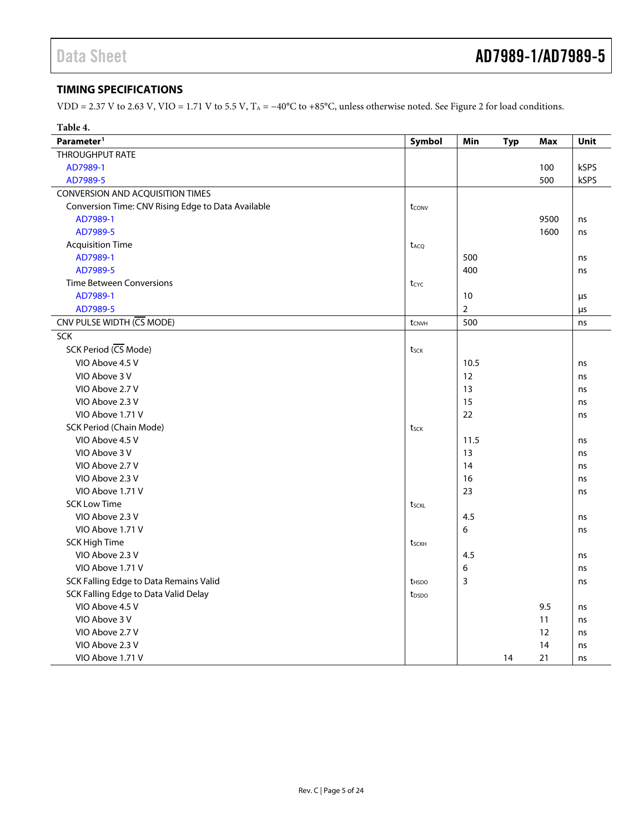# <span id="page-4-0"></span>**TIMING SPECIFICATIONS**

VDD = 2.37 V to 2.63 V, VIO = 1.71 V to 5.5 V, TA = −40°C to +85°C, unless otherwise noted. Se[e Figure 2](#page-5-0) for load conditions.

| Table 4.                                           |                   |                |            |            |      |
|----------------------------------------------------|-------------------|----------------|------------|------------|------|
| Parameter <sup>1</sup>                             | Symbol            | Min            | <b>Typ</b> | <b>Max</b> | Unit |
| <b>THROUGHPUT RATE</b>                             |                   |                |            |            |      |
| AD7989-1                                           |                   |                |            | 100        | kSPS |
| AD7989-5                                           |                   |                |            | 500        | kSPS |
| CONVERSION AND ACQUISITION TIMES                   |                   |                |            |            |      |
| Conversion Time: CNV Rising Edge to Data Available | tconv             |                |            |            |      |
| AD7989-1                                           |                   |                |            | 9500       | ns   |
| AD7989-5                                           |                   |                |            | 1600       | ns   |
| <b>Acquisition Time</b>                            | t <sub>ACQ</sub>  |                |            |            |      |
| AD7989-1                                           |                   | 500            |            |            | ns   |
| AD7989-5                                           |                   | 400            |            |            | ns   |
| <b>Time Between Conversions</b>                    | $t_{CYC}$         |                |            |            |      |
| AD7989-1                                           |                   | 10             |            |            | μs   |
| AD7989-5                                           |                   | $\overline{2}$ |            |            | μs   |
| CNV PULSE WIDTH (CS MODE)                          | tcnvh             | 500            |            |            | ns   |
| <b>SCK</b>                                         |                   |                |            |            |      |
| SCK Period (CS Mode)                               | tsck              |                |            |            |      |
| VIO Above 4.5 V                                    |                   | 10.5           |            |            | ns   |
| VIO Above 3 V                                      |                   | 12             |            |            | ns   |
| VIO Above 2.7 V                                    |                   | 13             |            |            | ns   |
| VIO Above 2.3 V                                    |                   | 15             |            |            | ns   |
| VIO Above 1.71 V                                   |                   | 22             |            |            | ns   |
| <b>SCK Period (Chain Mode)</b>                     | tsck              |                |            |            |      |
| VIO Above 4.5 V                                    |                   | 11.5           |            |            | ns   |
| VIO Above 3 V                                      |                   | 13             |            |            | ns   |
| VIO Above 2.7 V                                    |                   | 14             |            |            | ns   |
| VIO Above 2.3 V                                    |                   | 16             |            |            | ns   |
| VIO Above 1.71 V                                   |                   | 23             |            |            | ns   |
| <b>SCK Low Time</b>                                | tsckl             |                |            |            |      |
| VIO Above 2.3 V                                    |                   | 4.5            |            |            | ns   |
| VIO Above 1.71 V                                   |                   | 6              |            |            | ns   |
| <b>SCK High Time</b>                               | tsckh             |                |            |            |      |
| VIO Above 2.3 V                                    |                   | 4.5            |            |            | ns   |
| VIO Above 1.71 V                                   |                   | 6              |            |            | ns   |
| SCK Falling Edge to Data Remains Valid             | t <sub>HSDO</sub> | 3              |            |            | ns   |
| SCK Falling Edge to Data Valid Delay               | t <sub>DSDO</sub> |                |            |            |      |
| VIO Above 4.5 V                                    |                   |                |            | 9.5        | ns   |
| VIO Above 3 V                                      |                   |                |            | 11         | ns   |
| VIO Above 2.7 V                                    |                   |                |            | 12         | ns   |
| VIO Above 2.3 V                                    |                   |                |            | 14         | ns   |
| VIO Above 1.71 V                                   |                   |                | 14         | 21         | ns   |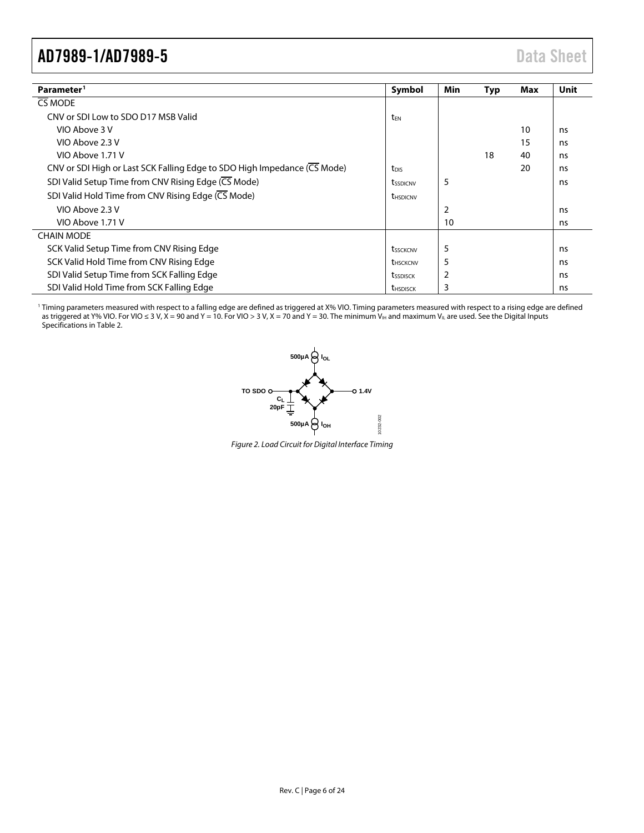<span id="page-5-1"></span>

| Parameter <sup>1</sup>                                                   | Symbol                 | Min | <b>Typ</b> | Max | Unit |
|--------------------------------------------------------------------------|------------------------|-----|------------|-----|------|
| CS MODE                                                                  |                        |     |            |     |      |
| CNV or SDI Low to SDO D17 MSB Valid                                      | t <sub>FN</sub>        |     |            |     |      |
| VIO Above 3 V                                                            |                        |     |            | 10  | ns   |
| VIO Above 2.3 V                                                          |                        |     |            | 15  | ns   |
| VIO Above 1.71 V                                                         |                        |     | 18         | 40  | ns   |
| CNV or SDI High or Last SCK Falling Edge to SDO High Impedance (CS Mode) | t <sub>DIS</sub>       |     |            | 20  | ns   |
| SDI Valid Setup Time from CNV Rising Edge (CS Mode)                      | tssdicnv               | 5   |            |     | ns   |
| SDI Valid Hold Time from CNV Rising Edge (CS Mode)                       | <b><i>UHSDICNV</i></b> |     |            |     |      |
| VIO Above 2.3 V                                                          |                        | 2   |            |     | ns   |
| VIO Above 1.71 V                                                         |                        | 10  |            |     | ns   |
| <b>CHAIN MODE</b>                                                        |                        |     |            |     |      |
| SCK Valid Setup Time from CNV Rising Edge                                | tssckcnv               | 5   |            |     | ns   |
| SCK Valid Hold Time from CNV Rising Edge                                 | thsckcnv               | 5   |            |     | ns   |
| SDI Valid Setup Time from SCK Falling Edge                               | tssdisck               | 2   |            |     | ns   |
| SDI Valid Hold Time from SCK Falling Edge                                | <b><i>UHSDISCK</i></b> | 3   |            |     | ns   |

<span id="page-5-0"></span><sup>1</sup> Timing parameters measured with respect to a falling edge are defined as triggered at X% VIO. Timing parameters measured with respect to a rising edge are defined as triggered at Y% VIO. For VIO ≤ 3 V, X = 90 and Y = 10. For VIO > 3 V, X = 70 and Y = 30. The minimum V $_{H_1}$  and maximum V $_{H_1}$  are used. See the Digital Inputs Specifications i[n Table 2.](#page-2-1)



*Figure 2. Load Circuit for Digital Interface Timing*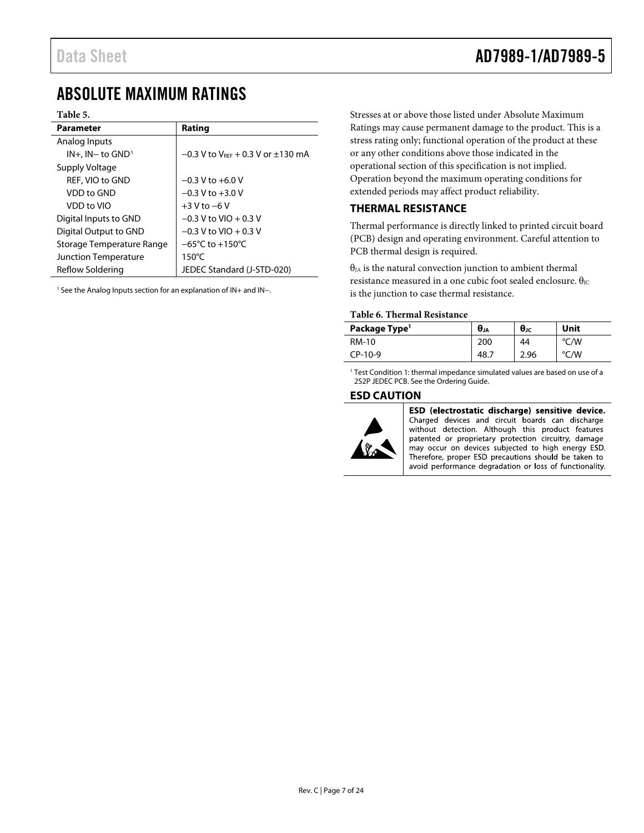# <span id="page-6-0"></span>ABSOLUTE MAXIMUM RATINGS

## **Table 5.**

| <b>Parameter</b>            | Rating                                               |
|-----------------------------|------------------------------------------------------|
| Analog Inputs               |                                                      |
| $IN+$ , $IN-$ to $GND1$     | $-0.3$ V to V <sub>REF</sub> + 0.3 V or $\pm$ 130 mA |
| Supply Voltage              |                                                      |
| <b>REF. VIO to GND</b>      | $-0.3$ V to $+6.0$ V                                 |
| VDD to GND                  | $-0.3$ V to $+3.0$ V                                 |
| VDD to VIO                  | $+3$ V to $-6$ V                                     |
| Digital Inputs to GND       | $-0.3$ V to VIO + 0.3 V                              |
| Digital Output to GND       | $-0.3$ V to VIO + 0.3 V                              |
| Storage Temperature Range   | $-65^{\circ}$ C to $+150^{\circ}$ C                  |
| <b>Junction Temperature</b> | $150^{\circ}$ C                                      |
| Reflow Soldering            | JEDEC Standard (J-STD-020)                           |

<sup>1</sup> See th[e Analog Inputs](#page-14-0) section for an explanation of IN+ and IN−.

Stresses at or above those listed under Absolute Maximum Ratings may cause permanent damage to the product. This is a stress rating only; functional operation of the product at these or any other conditions above those indicated in the operational section of this specification is not implied. Operation beyond the maximum operating conditions for extended periods may affect product reliability.

# <span id="page-6-1"></span>**THERMAL RESISTANCE**

Thermal performance is directly linked to printed circuit board (PCB) design and operating environment. Careful attention to PCB thermal design is required.

 $\theta_{JA}$  is the natural convection junction to ambient thermal resistance measured in a one cubic foot sealed enclosure.  $θ$ <sub>JC</sub> is the junction to case thermal resistance.

## **Table 6. Thermal Resistance**

| Package Type <sup>1</sup> | $\boldsymbol{\theta}$ ر | $\theta$ JC | Unit |
|---------------------------|-------------------------|-------------|------|
| RM-10                     | 200                     | 44          | °C/W |
| CP-10-9                   | 48.                     | 2.96        | °C/W |

<sup>1</sup> Test Condition 1: thermal impedance simulated values are based on use of a 2S2P JEDEC PCB. See the [Ordering Guide.](#page-22-0)

# <span id="page-6-2"></span>**ESD CAUTION**



ESD (electrostatic discharge) sensitive device. Charged devices and circuit boards can discharge without detection. Although this product features patented or proprietary protection circuitry, damage may occur on devices subjected to high energy ESD. Therefore, proper ESD precautions should be taken to avoid performance degradation or loss of functionality.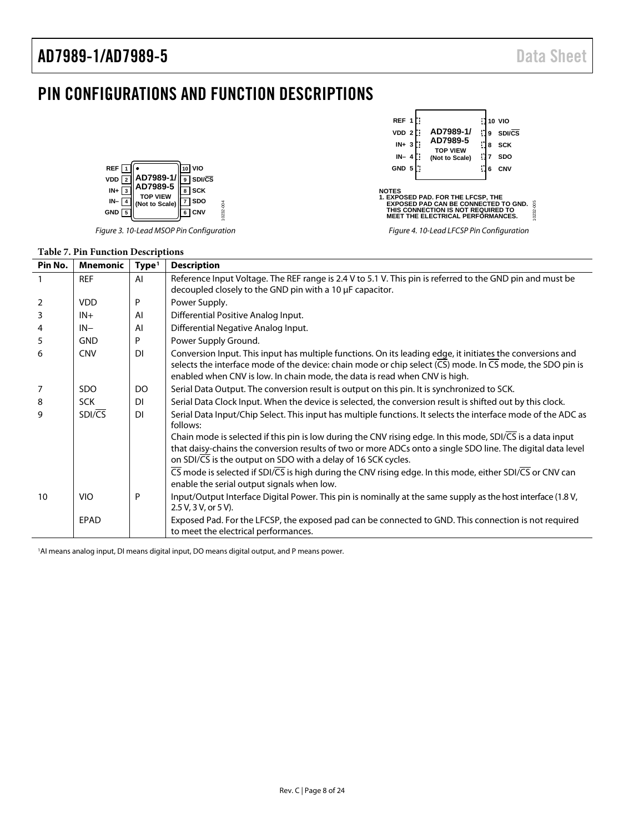# <span id="page-7-0"></span>PIN CONFIGURATIONS AND FUNCTION DESCRIPTIONS



*Figure 3. 10-Lead MSOP Pin Configuration*

| REF 1<br>VDD <sub>2</sub><br>$IN + 3$<br>$IN-4$<br>GND 5                                                                                                                                        |  | AD7989-1/<br>AD7989-5<br><b>TOP VIEW</b><br>(Not to Scale) | 9<br>8<br>7<br>6 | <b>10 VIO</b><br>SDI/CS<br><b>SCK</b><br><b>SDO</b><br>CNV |  |  |
|-------------------------------------------------------------------------------------------------------------------------------------------------------------------------------------------------|--|------------------------------------------------------------|------------------|------------------------------------------------------------|--|--|
| <b>NOTES</b><br><b>1. EXPOSED PAD. FOR THE LFCSP. THE</b><br>0232-005<br><b>EXPOSED PAD CAN BE CONNECTED TO GND.</b><br>THIS CONNECTION IS NOT REQUIRED TO<br>MEET THE ELECTRICAL PERFORMANCES. |  |                                                            |                  |                                                            |  |  |
| Figure 4. 10-Lead LFCSP Pin Configuration                                                                                                                                                       |  |                                                            |                  |                                                            |  |  |

## **Table 7. Pin Function Descriptions**

| Pin No.        | <b>Mnemonic</b> | Type <sup>1</sup> | <b>Description</b>                                                                                                                                                                                                                                                                                                              |
|----------------|-----------------|-------------------|---------------------------------------------------------------------------------------------------------------------------------------------------------------------------------------------------------------------------------------------------------------------------------------------------------------------------------|
|                | <b>REF</b>      | AI                | Reference Input Voltage. The REF range is 2.4 V to 5.1 V. This pin is referred to the GND pin and must be<br>decoupled closely to the GND pin with a 10 µF capacitor.                                                                                                                                                           |
| 2              | <b>VDD</b>      | P                 | Power Supply.                                                                                                                                                                                                                                                                                                                   |
| $\overline{3}$ | $IN+$           | AI                | Differential Positive Analog Input.                                                                                                                                                                                                                                                                                             |
| $\overline{4}$ | $IN-$           | AI                | Differential Negative Analog Input.                                                                                                                                                                                                                                                                                             |
| 5              | <b>GND</b>      | P                 | Power Supply Ground.                                                                                                                                                                                                                                                                                                            |
| 6              | <b>CNV</b>      | <b>DI</b>         | Conversion Input. This input has multiple functions. On its leading edge, it initiates the conversions and<br>selects the interface mode of the device: chain mode or chip select $(\overline{CS})$ mode. In $\overline{CS}$ mode, the SDO pin is<br>enabled when CNV is low. In chain mode, the data is read when CNV is high. |
| 7              | <b>SDO</b>      | DO                | Serial Data Output. The conversion result is output on this pin. It is synchronized to SCK.                                                                                                                                                                                                                                     |
| 8              | <b>SCK</b>      | <b>DI</b>         | Serial Data Clock Input. When the device is selected, the conversion result is shifted out by this clock.                                                                                                                                                                                                                       |
| 9              | SDI/CS          | <b>DI</b>         | Serial Data Input/Chip Select. This input has multiple functions. It selects the interface mode of the ADC as<br>follows:                                                                                                                                                                                                       |
|                |                 |                   | Chain mode is selected if this pin is low during the CNV rising edge. In this mode, SDI/CS is a data input<br>that daisy-chains the conversion results of two or more ADCs onto a single SDO line. The digital data level<br>on SDI/CS is the output on SDO with a delay of 16 SCK cycles.                                      |
|                |                 |                   | $\overline{\text{CS}}$ mode is selected if SDI/ $\overline{\text{CS}}$ is high during the CNV rising edge. In this mode, either SDI/ $\overline{\text{CS}}$ or CNV can<br>enable the serial output signals when low.                                                                                                            |
| 10             | <b>VIO</b>      | P                 | Input/Output Interface Digital Power. This pin is nominally at the same supply as the host interface (1.8 V,<br>2.5 V, 3 V, or 5 V).                                                                                                                                                                                            |
|                | EPAD            |                   | Exposed Pad. For the LFCSP, the exposed pad can be connected to GND. This connection is not required<br>to meet the electrical performances.                                                                                                                                                                                    |

1 AI means analog input, DI means digital input, DO means digital output, and P means power.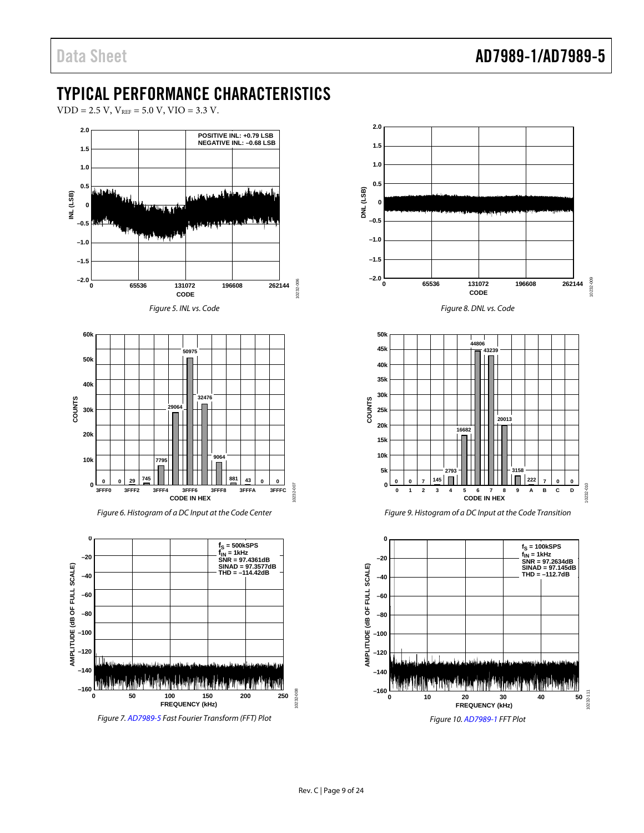# <span id="page-8-0"></span>TYPICAL PERFORMANCE CHARACTERISTICS

 $VDD = 2.5 V$ ,  $V_{REF} = 5.0 V$ ,  $VIO = 3.3 V$ .





*Figure 10[. AD7989-1](http://www.analog.com/AD7989-1?doc=ad7989-1_7989-5.pdf) FFT Plot*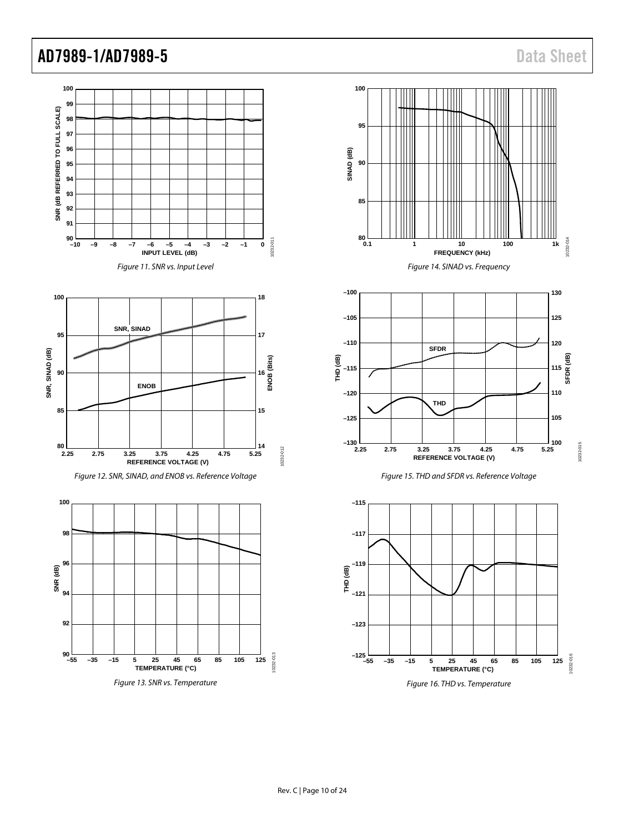10232-014

0232-01

**SFDR (dB)**

10232-015

0232-015

10232-016

10232-016

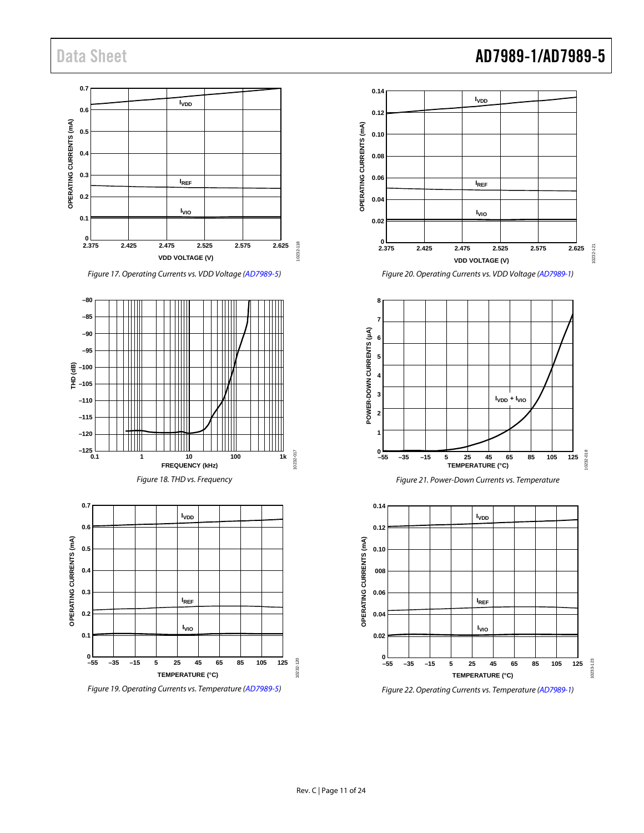## **0.7 IVDD 0.6** OPERATING CURRENTS (mA) **OPERATING CURRENTS (mA) 0.5 0.4 0.3 IREF 0.2 I**<sub>VIO</sub> **0.1** 0<br>2.375 10232-118 10232-118 **2.375 2.425 2.475 2.525 2.575 2.625 VDD VOLTAGE (V)**

*Figure 17. Operating Currents vs. VDD Voltage [\(AD7989-5\)](http://www.analog.com/AD7989-5?doc=ad7989-1_7989-5.pdf)*



*Figure 19. Operating Currents vs. Temperature [\(AD7989-5\)](http://www.analog.com/AD7989-5?doc=ad7989-1_7989-5.pdf)*

# Data Sheet **AD7989-1/AD7989-5 IVDD**

**0.14**

**0.12 0.10**

**0.08**



*Figure 22. Operating Currents vs. Temperature [\(AD7989-1\)](http://www.analog.com/ad7989-1?doc=ad7989-1_7989-5.pdf)*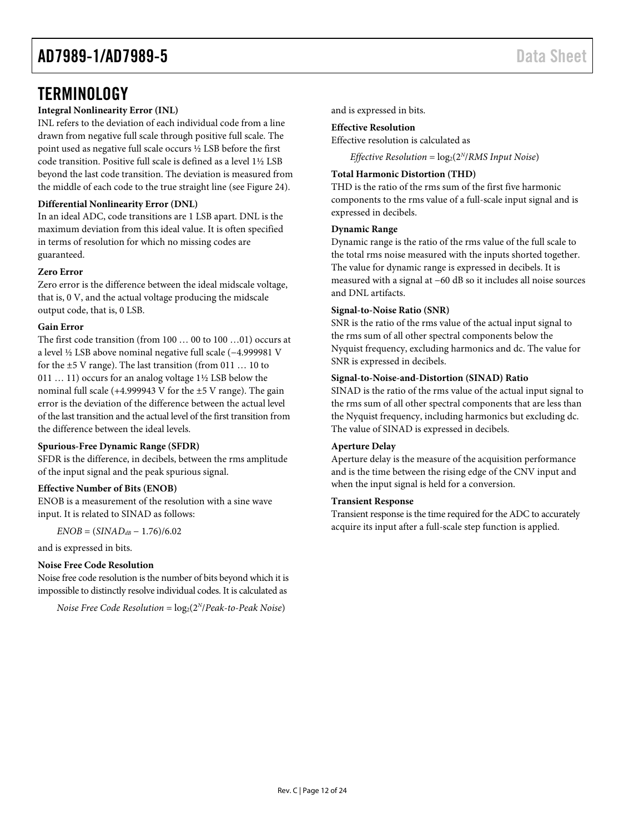# <span id="page-11-0"></span>**TERMINOLOGY**

# **Integral Nonlinearity Error (INL)**

INL refers to the deviation of each individual code from a line drawn from negative full scale through positive full scale. The point used as negative full scale occurs ½ LSB before the first code transition. Positive full scale is defined as a level 1½ LSB beyond the last code transition. The deviation is measured from the middle of each code to the true straight line (se[e Figure 24\)](#page-13-1).

## **Differential Nonlinearity Error (DNL)**

In an ideal ADC, code transitions are 1 LSB apart. DNL is the maximum deviation from this ideal value. It is often specified in terms of resolution for which no missing codes are guaranteed.

## **Zero Error**

Zero error is the difference between the ideal midscale voltage, that is, 0 V, and the actual voltage producing the midscale output code, that is, 0 LSB.

## **Gain Error**

The first code transition (from 100 … 00 to 100 …01) occurs at a level ½ LSB above nominal negative full scale (−4.999981 V for the ±5 V range). The last transition (from 011 … 10 to 011 … 11) occurs for an analog voltage 1½ LSB below the nominal full scale  $(+4.999943 \text{ V}$  for the  $\pm 5 \text{ V}$  range). The gain error is the deviation of the difference between the actual level of the last transition and the actual level of the first transition from the difference between the ideal levels.

## **Spurious-Free Dynamic Range (SFDR)**

SFDR is the difference, in decibels, between the rms amplitude of the input signal and the peak spurious signal.

## **Effective Number of Bits (ENOB)**

ENOB is a measurement of the resolution with a sine wave input. It is related to SINAD as follows:

*ENOB* = (*SINADdB* − 1.76)/6.02

and is expressed in bits.

## **Noise Free Code Resolution**

Noise free code resolution is the number of bits beyond which it is impossible to distinctly resolve individual codes. It is calculated as

*Noise Free Code Resolution* =  $log_2(2^N/Peak-to-Peak Noise)$ 

and is expressed in bits.

## **Effective Resolution**

Effective resolution is calculated as

*Effective Resolution* =  $log_2(2^N/RMS \text{ Input Noise})$ 

## **Total Harmonic Distortion (THD)**

THD is the ratio of the rms sum of the first five harmonic components to the rms value of a full-scale input signal and is expressed in decibels.

## **Dynamic Range**

Dynamic range is the ratio of the rms value of the full scale to the total rms noise measured with the inputs shorted together. The value for dynamic range is expressed in decibels. It is measured with a signal at −60 dB so it includes all noise sources and DNL artifacts.

## **Signal-to-Noise Ratio (SNR)**

SNR is the ratio of the rms value of the actual input signal to the rms sum of all other spectral components below the Nyquist frequency, excluding harmonics and dc. The value for SNR is expressed in decibels.

## **Signal-to-Noise-and-Distortion (SINAD) Ratio**

SINAD is the ratio of the rms value of the actual input signal to the rms sum of all other spectral components that are less than the Nyquist frequency, including harmonics but excluding dc. The value of SINAD is expressed in decibels.

## **Aperture Delay**

Aperture delay is the measure of the acquisition performance and is the time between the rising edge of the CNV input and when the input signal is held for a conversion.

## **Transient Response**

Transient response is the time required for the ADC to accurately acquire its input after a full-scale step function is applied.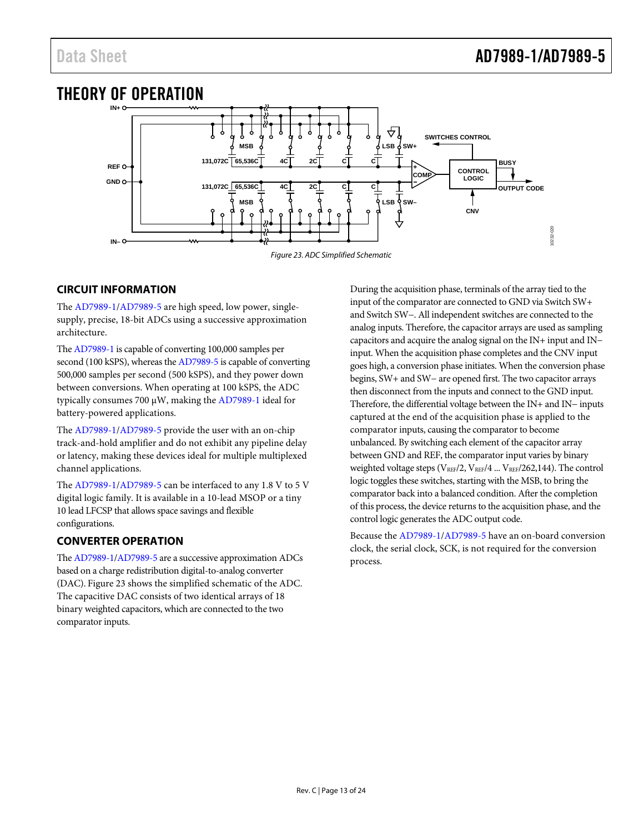<span id="page-12-0"></span>

# <span id="page-12-3"></span><span id="page-12-1"></span>**CIRCUIT INFORMATION**

The [AD7989-1/](http://www.analog.com/AD7989-1?doc=ad7989-1_7989-5.pdf)[AD7989-5](http://www.analog.com/AD7989-5?doc=ad7989-1_7989-5.pdf) are high speed, low power, singlesupply, precise, 18-bit ADCs using a successive approximation architecture.

Th[e AD7989-1](http://www.analog.com/AD7989-1?doc=ad7989-1_7989-5.pdf) is capable of converting 100,000 samples per second (100 kSPS), whereas th[e AD7989-5](http://www.analog.com/AD7989-5?doc=ad7989-1_7989-5.pdf) is capable of converting 500,000 samples per second (500 kSPS), and they power down between conversions. When operating at 100 kSPS, the ADC typically consumes 700 µW, making the [AD7989-1](http://www.analog.com/AD7989-1?doc=ad7989-1_7989-5.pdf) ideal for battery-powered applications.

The [AD7989-1/](http://www.analog.com/AD7989-1?doc=ad7989-1_7989-5.pdf)[AD7989-5](http://www.analog.com/AD7989-5?doc=ad7989-1_7989-5.pdf) provide the user with an on-chip track-and-hold amplifier and do not exhibit any pipeline delay or latency, making these devices ideal for multiple multiplexed channel applications.

The [AD7989-1/](http://www.analog.com/AD7989-1?doc=ad7989-1_7989-5.pdf)[AD7989-5](http://www.analog.com/AD7989-5?doc=ad7989-1_7989-5.pdf) can be interfaced to any 1.8 V to 5 V digital logic family. It is available in a 10-lead MSOP or a tiny 10 lead LFCSP that allows space savings and flexible configurations.

# <span id="page-12-2"></span>**CONVERTER OPERATION**

Th[e AD7989-1](http://www.analog.com/AD7989-1?doc=ad7989-1_7989-5.pdf)[/AD7989-5](http://www.analog.com/AD7989-5?doc=ad7989-1_7989-5.pdf) are a successive approximation ADCs based on a charge redistribution digital-to-analog converter (DAC)[. Figure 23](#page-12-3) shows the simplified schematic of the ADC. The capacitive DAC consists of two identical arrays of 18 binary weighted capacitors, which are connected to the two comparator inputs.

During the acquisition phase, terminals of the array tied to the input of the comparator are connected to GND via Switch SW+ and Switch SW−. All independent switches are connected to the analog inputs. Therefore, the capacitor arrays are used as sampling capacitors and acquire the analog signal on the IN+ input and IN− input. When the acquisition phase completes and the CNV input goes high, a conversion phase initiates. When the conversion phase begins, SW+ and SW− are opened first. The two capacitor arrays then disconnect from the inputs and connect to the GND input. Therefore, the differential voltage between the IN+ and IN− inputs captured at the end of the acquisition phase is applied to the comparator inputs, causing the comparator to become unbalanced. By switching each element of the capacitor array between GND and REF, the comparator input varies by binary weighted voltage steps (VREF/2, VREF/4 ... VREF/262,144). The control logic toggles these switches, starting with the MSB, to bring the comparator back into a balanced condition. After the completion of this process, the device returns to the acquisition phase, and the control logic generates the ADC output code.

Because th[e AD7989-1/](http://www.analog.com/AD7989-1?doc=ad7989-1_7989-5.pdf)[AD7989-5](http://www.analog.com/AD7989-5?doc=ad7989-1_7989-5.pdf) have an on-board conversion clock, the serial clock, SCK, is not required for the conversion process.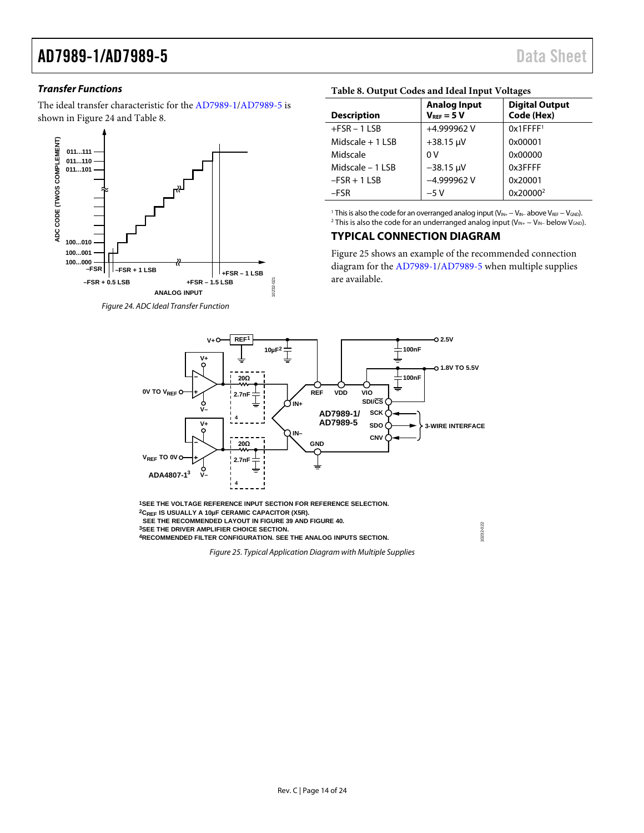# *Transfer Functions*

The ideal transfer characteristic for the [AD7989-1](http://www.analog.com/AD7989-1?doc=ad7989-1_7989-5.pdf)[/AD7989-5](http://www.analog.com/AD7989-5?doc=ad7989-1_7989-5.pdf) is shown in [Figure 24](#page-13-1) and [Table 8.](#page-13-2) 



### <span id="page-13-1"></span>*Figure 24. ADC Ideal Transfer Function*

## <span id="page-13-2"></span>**Table 8. Output Codes and Ideal Input Voltages**

| <b>Description</b> | <b>Analog Input</b><br>$V_{RFF} = 5 V$ | <b>Digital Output</b><br>Code (Hex) |
|--------------------|----------------------------------------|-------------------------------------|
| $+FSR - 1LSB$      | +4.999962 V                            | $0x1$ FFFF <sup>1</sup>             |
| Midscale $+1$ LSB  | $+38.15 \mu V$                         | 0x00001                             |
| Midscale           | 0 V                                    | 0x00000                             |
| Midscale - 1 LSB   | $-38.15 \mu V$                         | 0x3FFFF                             |
| $-FSR + 1$ LSB     | $-4.999962V$                           | 0x20001                             |
| $-FSR$             | $-5V$                                  | 0x20000 <sup>2</sup>                |

<sup>1</sup> This is also the code for an overranged analog input (V<sub>IN+</sub> − V<sub>IN−</sub> above V<sub>REF</sub> − V<sub>GND</sub>). <sup>2</sup> This is also the code for an underranged analog input ( $V_{IN+} - V_{IN-}$  below  $V_{GND}$ ).

# <span id="page-13-0"></span>**TYPICAL CONNECTION DIAGRAM**

[Figure 25](#page-13-3) shows an example of the recommended connection diagram for th[e AD7989-1](http://www.analog.com/AD7989-1?doc=ad7989-1_7989-5.pdf)[/AD7989-5](http://www.analog.com/AD7989-5?doc=ad7989-1_7989-5.pdf) when multiple supplies are available.

10232-022

0232-022



<span id="page-13-3"></span>**1SEE THE VOLTAGE REFERENCE INPUT SECTION FOR REFERENCE SELECTION. 2CREF IS USUALLY A 10µF CERAMIC CAPACITOR (X5R). SEE THE RECOMMENDED LAYOUT IN FIGURE 39 AND FIGURE 40. 3SEE THE DRIVER AMPLIFIER CHOICE SECTION. 4RECOMMENDED FILTER CONFIGURATION. SEE THE ANALOG INPUTS SECTION.**

10232-021

*Figure 25. Typical Application Diagram with Multiple Supplies*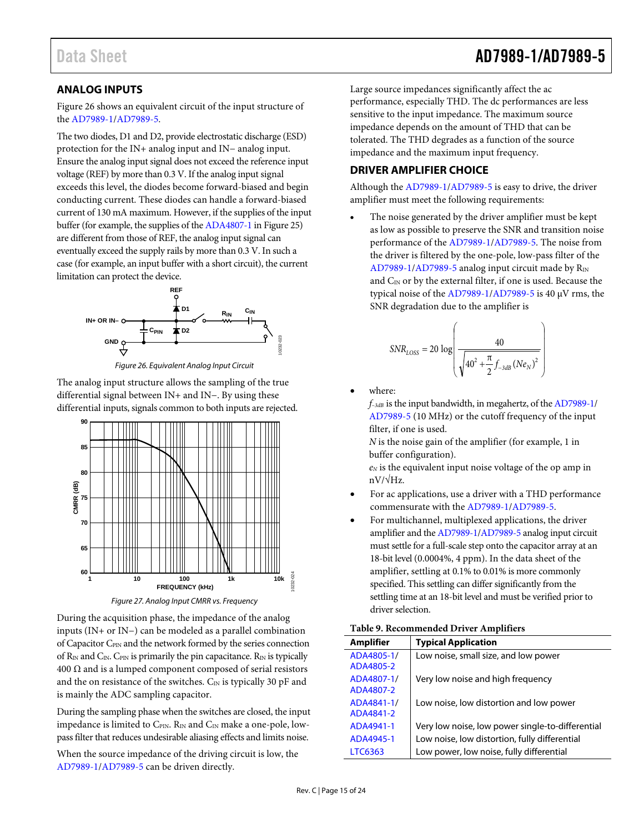# <span id="page-14-0"></span>**ANALOG INPUTS**

[Figure 26](#page-14-2) shows an equivalent circuit of the input structure of the [AD7989-1/](http://www.analog.com/AD7989-1?doc=ad7989-1_7989-5.pdf)[AD7989-5.](http://www.analog.com/AD7989-5?doc=ad7989-1_7989-5.pdf)

The two diodes, D1 and D2, provide electrostatic discharge (ESD) protection for the IN+ analog input and IN− analog input. Ensure the analog input signal does not exceed the reference input voltage (REF) by more than 0.3 V. If the analog input signal exceeds this level, the diodes become forward-biased and begin conducting current. These diodes can handle a forward-biased current of 130 mA maximum. However, if the supplies of the input buffer (for example, the supplies of th[e ADA4807-1](http://www.analog.com/ADA4807-1?doc=ad7989-1_7989-5.pdf) i[n Figure 25\)](#page-13-3) are different from those of REF, the analog input signal can eventually exceed the supply rails by more than 0.3 V. In such a case (for example, an input buffer with a short circuit), the current limitation can protect the device.



*Figure 26. Equivalent Analog Input Circuit* 

<span id="page-14-2"></span>The analog input structure allows the sampling of the true differential signal between IN+ and IN−. By using these differential inputs, signals common to both inputs are rejected.



*Figure 27. Analog Input CMRR vs. Frequency*

During the acquisition phase, the impedance of the analog inputs (IN+ or IN−) can be modeled as a parallel combination of Capacitor C<sub>PIN</sub> and the network formed by the series connection of  $R_{IN}$  and  $C_{IN}$ . C<sub>PIN</sub> is primarily the pin capacitance.  $R_{IN}$  is typically 400  $Ω$  and is a lumped component composed of serial resistors and the on resistance of the switches.  $C_{IN}$  is typically 30 pF and is mainly the ADC sampling capacitor.

During the sampling phase when the switches are closed, the input impedance is limited to  $C_{\text{PIN}}$ .  $R_{\text{IN}}$  and  $C_{\text{IN}}$  make a one-pole, lowpass filter that reduces undesirable aliasing effects and limits noise.

When the source impedance of the driving circuit is low, the [AD7989-1/](http://www.analog.com/AD7989-1?doc=ad7989-1_7989-5.pdf)[AD7989-5](http://www.analog.com/AD7989-5?doc=ad7989-1_7989-5.pdf) can be driven directly.

Large source impedances significantly affect the ac performance, especially THD. The dc performances are less sensitive to the input impedance. The maximum source impedance depends on the amount of THD that can be tolerated. The THD degrades as a function of the source impedance and the maximum input frequency.

# <span id="page-14-1"></span>**DRIVER AMPLIFIER CHOICE**

Although th[e AD7989-1/](http://www.analog.com/AD7989-1?doc=ad7989-1_7989-5.pdf)[AD7989-5](http://www.analog.com/AD7989-5?doc=ad7989-1_7989-5.pdf) is easy to drive, the driver amplifier must meet the following requirements:

The noise generated by the driver amplifier must be kept as low as possible to preserve the SNR and transition noise performance of the [AD7989-1/](http://www.analog.com/AD7989-1?doc=ad7989-1_7989-5.pdf)[AD7989-5.](http://www.analog.com/AD7989-5?doc=ad7989-1_7989-5.pdf) The noise from the driver is filtered by the one-pole, low-pass filter of the [AD7989-1/](http://www.analog.com/AD7989-1?doc=ad7989-1_7989-5.pdf)[AD7989-5](http://www.analog.com/AD7989-5?doc=ad7989-1_7989-5.pdf) analog input circuit made by  $R_{IN}$ and C<sub>IN</sub> or by the external filter, if one is used. Because the typical noise of the [AD7989-1](http://www.analog.com/AD7989-1?doc=ad7989-1_7989-5.pdf)[/AD7989-5](http://www.analog.com/AD7989-5?doc=ad7989-1_7989-5.pdf) is 40 µV rms, the SNR degradation due to the amplifier is

$$
SNR_{LOSS} = 20 \log \left( \frac{40}{\sqrt{40^2 + \frac{\pi}{2} f_{-3dB} (Ne_N)^2}} \right)
$$

where:

*f–3dB* is the input bandwidth, in megahertz, of th[e AD7989-1/](http://www.analog.com/AD7989-1?doc=ad7989-1_7989-5.pdf) [AD7989-5](http://www.analog.com/AD7989-5?doc=ad7989-1_7989-5.pdf) (10 MHz) or the cutoff frequency of the input filter, if one is used.

*N* is the noise gain of the amplifier (for example, 1 in buffer configuration).

*eN* is the equivalent input noise voltage of the op amp in nV/√Hz.

- For ac applications, use a driver with a THD performance commensurate with th[e AD7989-1](http://www.analog.com/AD7989-1?doc=ad7989-1_7989-5.pdf)[/AD7989-5.](http://www.analog.com/AD7989-5?doc=ad7989-1_7989-5.pdf)
- For multichannel, multiplexed applications, the driver amplifier and th[e AD7989-1](http://www.analog.com/AD7989-1?doc=ad7989-1_7989-5.pdf)[/AD7989-5](http://www.analog.com/AD7989-5?doc=ad7989-1_7989-5.pdf) analog input circuit must settle for a full-scale step onto the capacitor array at an 18-bit level (0.0004%, 4 ppm). In the data sheet of the amplifier, settling at 0.1% to 0.01% is more commonly specified. This settling can differ significantly from the settling time at an 18-bit level and must be verified prior to driver selection.

|  | Table 9. Recommended Driver Amplifiers |  |  |
|--|----------------------------------------|--|--|
|--|----------------------------------------|--|--|

| <b>Amplifier</b>        | <b>Typical Application</b>                       |
|-------------------------|--------------------------------------------------|
| ADA4805-1/<br>ADA4805-2 | Low noise, small size, and low power             |
| ADA4807-1/<br>ADA4807-2 | Very low noise and high frequency                |
| ADA4841-1/<br>ADA4841-2 | Low noise, low distortion and low power          |
| ADA4941-1               | Very low noise, low power single-to-differential |
| ADA4945-1               | Low noise, low distortion, fully differential    |
| LTC6363                 | Low power, low noise, fully differential         |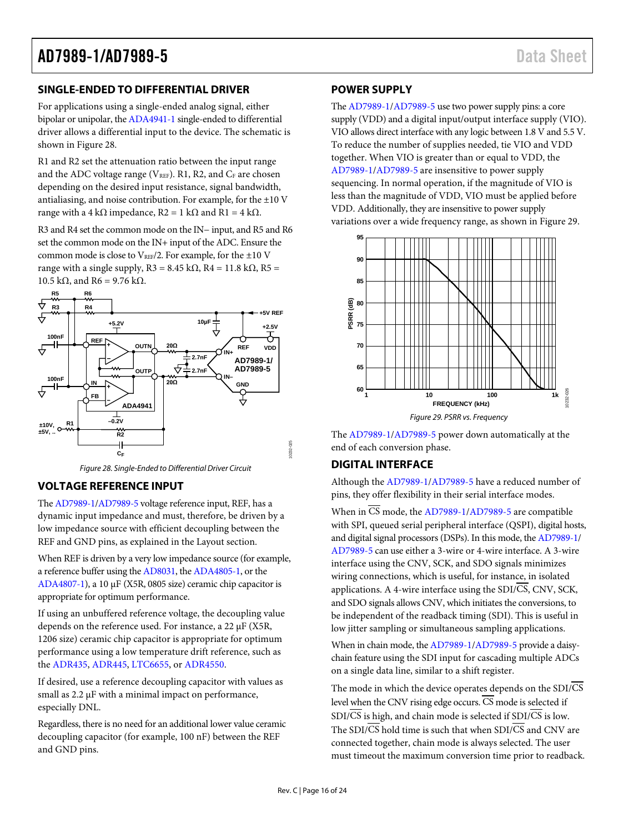# <span id="page-15-0"></span>**SINGLE-ENDED TO DIFFERENTIAL DRIVER**

For applications using a single-ended analog signal, either bipolar or unipolar, th[e ADA4941-1](http://www.analog.com/ada4941-1?doc=ad7989-1_7989-5.pdf) single-ended to differential driver allows a differential input to the device. The schematic is shown in [Figure 28.](#page-15-4)

R1 and R2 set the attenuation ratio between the input range and the ADC voltage range ( $V_{REF}$ ). R1, R2, and  $C_F$  are chosen depending on the desired input resistance, signal bandwidth, antialiasing, and noise contribution. For example, for the  $\pm 10$  V range with a 4 kΩ impedance,  $R2 = 1$  kΩ and  $R1 = 4$  kΩ.

R3 and R4 set the common mode on the IN− input, and R5 and R6 set the common mode on the IN+ input of the ADC. Ensure the common mode is close to VREF/2. For example, for the  $\pm 10$  V range with a single supply,  $R3 = 8.45$  k $\Omega$ ,  $R4 = 11.8$  k $\Omega$ ,  $R5 =$ 10.5 kΩ, and R6 = 9.76 kΩ.



*Figure 28. Single-Ended to Differential Driver Circuit*

# <span id="page-15-4"></span><span id="page-15-1"></span>**VOLTAGE REFERENCE INPUT**

Th[e AD7989-1](http://www.analog.com/AD7989-1?doc=ad7989-1_7989-5.pdf)[/AD7989-5](http://www.analog.com/AD7989-5?doc=ad7989-1_7989-5.pdf) voltage reference input, REF, has a dynamic input impedance and must, therefore, be driven by a low impedance source with efficient decoupling between the REF and GND pins, as explained in the [Layout](#page-19-2) section.

When REF is driven by a very low impedance source (for example, a reference buffer using th[e AD8031,](http://www.analog.com/AD8031?doc=ad7989-1_7989-5.pdf) th[e ADA4805-1,](http://www.analog.com/ADA4805-1?doc=ad7989-1_7989-5.pdf) or the [ADA4807-1\)](http://www.analog.com/ADA4807-1?doc=ad7989-1_7989-5.pdf), a 10 µF (X5R, 0805 size) ceramic chip capacitor is appropriate for optimum performance.

If using an unbuffered reference voltage, the decoupling value depends on the reference used. For instance, a 22 µF (X5R, 1206 size) ceramic chip capacitor is appropriate for optimum performance using a low temperature drift reference, such as the [ADR435,](http://www.analog.com/ADR435?doc=ad7989-1_7989-5.pdf) [ADR445,](http://www.analog.com/ADR445?doc=ad7989-1_7989-5.pdf) [LTC6655,](http://www.analog.com/LTC6655?doc=ad7989-1_7989-5.pdf) o[r ADR4550.](http://www.analog.com/ADR4550?doc=ad7989-1_7989-5.pdf)

If desired, use a reference decoupling capacitor with values as small as 2.2  $\mu$ F with a minimal impact on performance, especially DNL.

Regardless, there is no need for an additional lower value ceramic decoupling capacitor (for example, 100 nF) between the REF and GND pins.

# <span id="page-15-2"></span>**POWER SUPPLY**

Th[e AD7989-1](http://www.analog.com/AD7989-1?doc=ad7989-1_7989-5.pdf)[/AD7989-5](http://www.analog.com/AD7989-5?doc=ad7989-1_7989-5.pdf) use two power supply pins: a core supply (VDD) and a digital input/output interface supply (VIO). VIO allows direct interface with any logic between 1.8 V and 5.5 V. To reduce the number of supplies needed, tie VIO and VDD together. When VIO is greater than or equal to VDD, the [AD7989-1/](http://www.analog.com/AD7989-1?doc=ad7989-1_7989-5.pdf)[AD7989-5](http://www.analog.com/AD7989-5?doc=ad7989-1_7989-5.pdf) are insensitive to power supply sequencing. In normal operation, if the magnitude of VIO is less than the magnitude of VDD, VIO must be applied before VDD. Additionally, they are insensitive to power supply variations over a wide frequency range, as shown i[n Figure 29.](#page-15-5)



<span id="page-15-5"></span>The [AD7989-1/](http://www.analog.com/AD7989-1?doc=ad7989-1_7989-5.pdf)[AD7989-5](http://www.analog.com/AD7989-5?doc=ad7989-1_7989-5.pdf) power down automatically at the end of each conversion phase.

# <span id="page-15-3"></span>**DIGITAL INTERFACE**

Although th[e AD7989-1/](http://www.analog.com/AD7989-1?doc=ad7989-1_7989-5.pdf)[AD7989-5](http://www.analog.com/AD7989-5?doc=ad7989-1_7989-5.pdf) have a reduced number of pins, they offer flexibility in their serial interface modes.

When in  $\overline{CS}$  mode, the [AD7989-1/](http://www.analog.com/AD7989-1?doc=ad7989-1_7989-5.pdf)[AD7989-5](http://www.analog.com/AD7989-5?doc=ad7989-1_7989-5.pdf) are compatible with SPI, queued serial peripheral interface (QSPI), digital hosts, and digital signal processors (DSPs). In this mode, th[e AD7989-1/](http://www.analog.com/AD7989-1?doc=ad7989-1_7989-5.pdf) [AD7989-5](http://www.analog.com/AD7989-5?doc=ad7989-1_7989-5.pdf) can use either a 3-wire or 4-wire interface. A 3-wire interface using the CNV, SCK, and SDO signals minimizes wiring connections, which is useful, for instance, in isolated applications. A 4-wire interface using the SDI/CS, CNV, SCK, and SDO signals allows CNV, which initiates the conversions, to be independent of the readback timing (SDI). This is useful in low jitter sampling or simultaneous sampling applications.

When in chain mode, th[e AD7989-1/](http://www.analog.com/AD7989-1?doc=ad7989-1_7989-5.pdf)[AD7989-5](http://www.analog.com/AD7989-5?doc=ad7989-1_7989-5.pdf) provide a daisychain feature using the SDI input for cascading multiple ADCs on a single data line, similar to a shift register.

The mode in which the device operates depends on the SDI/CS level when the CNV rising edge occurs.  $\overline{\text{CS}}$  mode is selected if  $SDI/\overline{CS}$  is high, and chain mode is selected if  $SDI/\overline{CS}$  is low. The SDI/ $\overline{\text{CS}}$  hold time is such that when SDI/ $\overline{\text{CS}}$  and CNV are connected together, chain mode is always selected. The user must timeout the maximum conversion time prior to readback.

10232-025

1232.025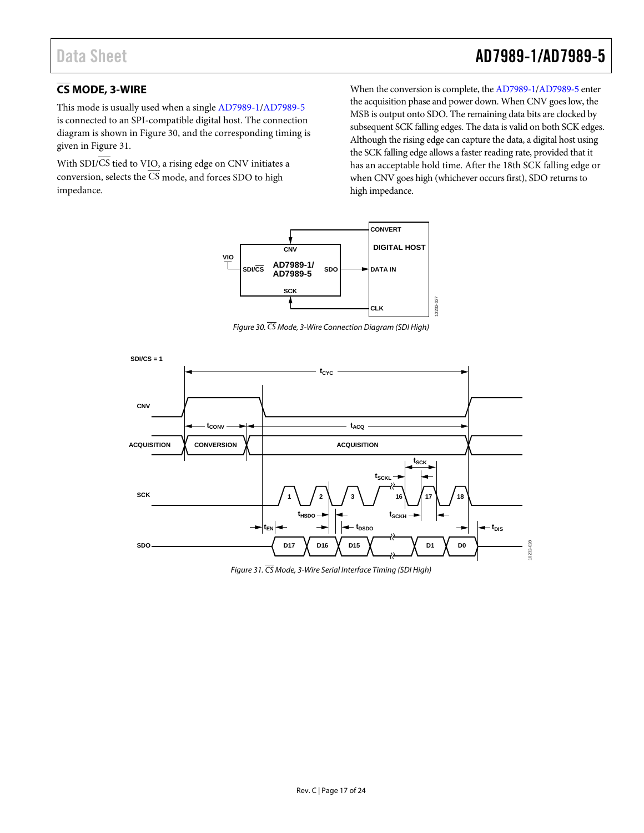# Data Sheet **AD7989-1/AD7989-5**

# <span id="page-16-0"></span>**CS MODE, 3-WIRE**

This mode is usually used when a single [AD7989-1/](http://www.analog.com/AD7989-1?doc=ad7989-1_7989-5.pdf)[AD7989-5](http://www.analog.com/AD7989-5?doc=ad7989-1_7989-5.pdf) is connected to an SPI-compatible digital host. The connection diagram is shown in [Figure 30,](#page-16-1) and the corresponding timing is given i[n Figure 31.](#page-16-2)

With  $SDI/\overline{CS}$  tied to VIO, a rising edge on CNV initiates a conversion, selects the  $\overline{\text{CS}}$  mode, and forces SDO to high impedance.

When the conversion is complete, th[e AD7989-1](http://www.analog.com/AD7989-1?doc=ad7989-1_7989-5.pdf)[/AD7989-5](http://www.analog.com/AD7989-5?doc=ad7989-1_7989-5.pdf) enter the acquisition phase and power down. When CNV goes low, the MSB is output onto SDO. The remaining data bits are clocked by subsequent SCK falling edges. The data is valid on both SCK edges. Although the rising edge can capture the data, a digital host using the SCK falling edge allows a faster reading rate, provided that it has an acceptable hold time. After the 18th SCK falling edge or when CNV goes high (whichever occurs first), SDO returns to high impedance.



*Figure 30. CS Mode, 3-Wire Connection Diagram (SDI High)*

<span id="page-16-1"></span>

<span id="page-16-2"></span>*Figure 31. CS Mode, 3-Wire Serial Interface Timing (SDI High)*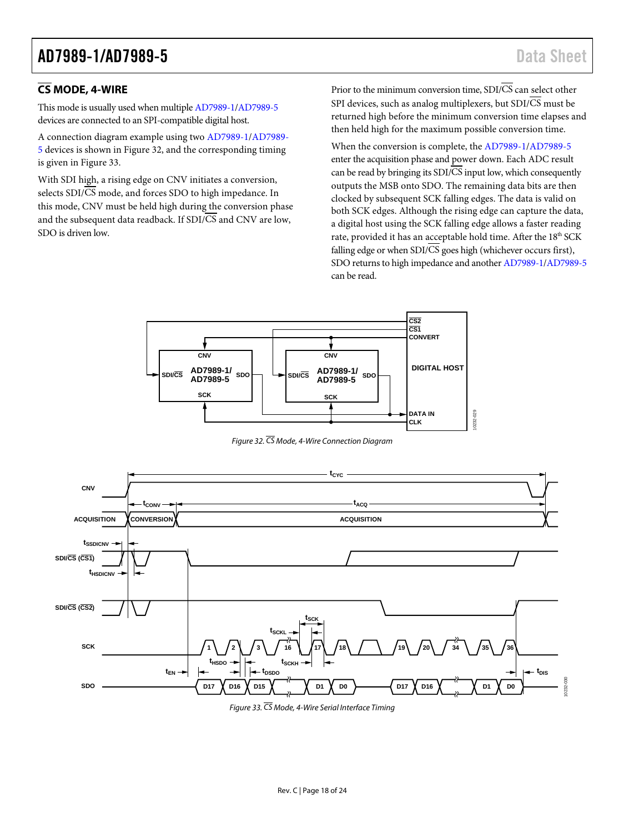# <span id="page-17-0"></span>**CS MODE, 4-WIRE**

This mode is usually used when multipl[e AD7989-1/](http://www.analog.com/AD7989-1?doc=ad7989-1_7989-5.pdf)[AD7989-5](http://www.analog.com/AD7989-5?doc=ad7989-1_7989-5.pdf) devices are connected to an SPI-compatible digital host.

A connection diagram example using two [AD7989-1](http://www.analog.com/AD7989-1?doc=ad7989-1_7989-5.pdf)[/AD7989-](http://www.analog.com/AD7989-5?doc=ad7989-1_7989-5.pdf) [5](http://www.analog.com/AD7989-5?doc=ad7989-1_7989-5.pdf) devices is shown in [Figure 32,](#page-17-1) and the corresponding timing is given in [Figure 33.](#page-17-2)

With SDI high, a rising edge on CNV initiates a conversion, selects SDI/CS mode, and forces SDO to high impedance. In this mode, CNV must be held high during the conversion phase and the subsequent data readback. If SDI/CS and CNV are low, SDO is driven low.

Prior to the minimum conversion time,  $SDI/\overline{CS}$  can select other SPI devices, such as analog multiplexers, but  $SDI/\overline{CS}$  must be returned high before the minimum conversion time elapses and then held high for the maximum possible conversion time.

When the conversion is complete, the [AD7989-1](http://www.analog.com/AD7989-1?doc=ad7989-1_7989-5.pdf)[/AD7989-5](http://www.analog.com/AD7989-5?doc=ad7989-1_7989-5.pdf) enter the acquisition phase and power down. Each ADC result can be read by bringing its  $SDI/\overline{CS}$  input low, which consequently outputs the MSB onto SDO. The remaining data bits are then clocked by subsequent SCK falling edges. The data is valid on both SCK edges. Although the rising edge can capture the data, a digital host using the SCK falling edge allows a faster reading rate, provided it has an acceptable hold time. After the 18<sup>th</sup> SCK falling edge or when  $SDI/\overline{CS}$  goes high (whichever occurs first), SDO returns to high impedance and another [AD7989-1/](http://www.analog.com/AD7989-1?doc=ad7989-1_7989-5.pdf)[AD7989-5](http://www.analog.com/AD7989-5?doc=ad7989-1_7989-5.pdf) can be read.



*Figure 32. CS Mode, 4-Wire Connection Diagram*

<span id="page-17-1"></span>

<span id="page-17-2"></span>*Figure 33. CS Mode, 4-Wire Serial Interface Timing*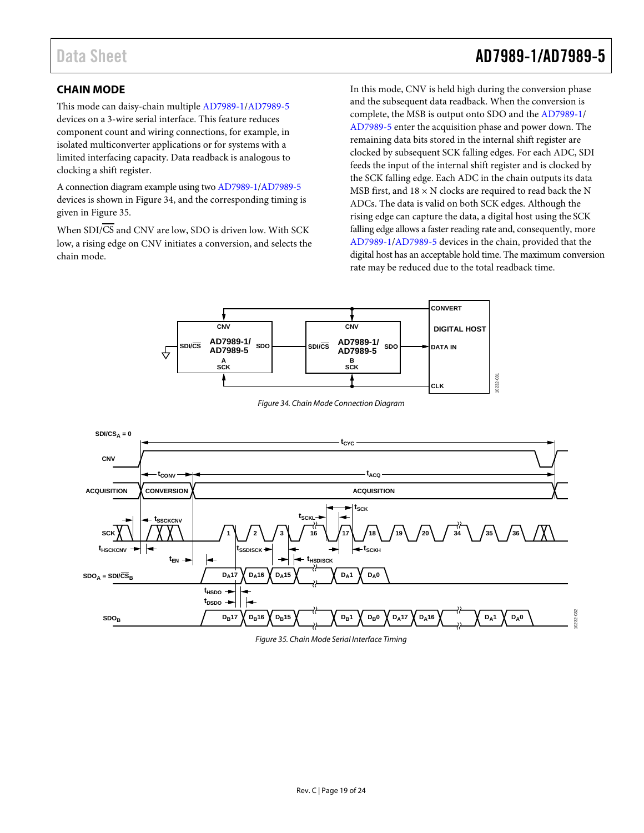# Data Sheet **AD7989-1/AD7989-5**

# <span id="page-18-0"></span>**CHAIN MODE**

This mode can daisy-chain multiple [AD7989-1](http://www.analog.com/AD7989-1?doc=ad7989-1_7989-5.pdf)[/AD7989-5](http://www.analog.com/AD7989-5?doc=ad7989-1_7989-5.pdf) devices on a 3-wire serial interface. This feature reduces component count and wiring connections, for example, in isolated multiconverter applications or for systems with a limited interfacing capacity. Data readback is analogous to clocking a shift register.

A connection diagram example using tw[o AD7989-1](http://www.analog.com/AD7989-1?doc=ad7989-1_7989-5.pdf)[/AD7989-5](http://www.analog.com/AD7989-5?doc=ad7989-1_7989-5.pdf) devices is shown in [Figure 34,](#page-18-1) and the corresponding timing is given i[n Figure 35.](#page-18-2)

When SDI/CS and CNV are low, SDO is driven low. With SCK low, a rising edge on CNV initiates a conversion, and selects the chain mode.

In this mode, CNV is held high during the conversion phase and the subsequent data readback. When the conversion is complete, the MSB is output onto SDO and th[e AD7989-1/](http://www.analog.com/AD7989-1?doc=ad7989-1_7989-5.pdf) [AD7989-5](http://www.analog.com/AD7989-5?doc=ad7989-1_7989-5.pdf) enter the acquisition phase and power down. The remaining data bits stored in the internal shift register are clocked by subsequent SCK falling edges. For each ADC, SDI feeds the input of the internal shift register and is clocked by the SCK falling edge. Each ADC in the chain outputs its data MSB first, and  $18 \times N$  clocks are required to read back the N ADCs. The data is valid on both SCK edges. Although the rising edge can capture the data, a digital host using the SCK falling edge allows a faster reading rate and, consequently, more [AD7989-1/](http://www.analog.com/AD7989-1?doc=ad7989-1_7989-5.pdf)[AD7989-5](http://www.analog.com/AD7989-5?doc=ad7989-1_7989-5.pdf) devices in the chain, provided that the digital host has an acceptable hold time. The maximum conversion rate may be reduced due to the total readback time.



*Figure 34. Chain Mode Connection Diagram*

<span id="page-18-1"></span>

<span id="page-18-2"></span>*Figure 35. Chain Mode Serial Interface Timing*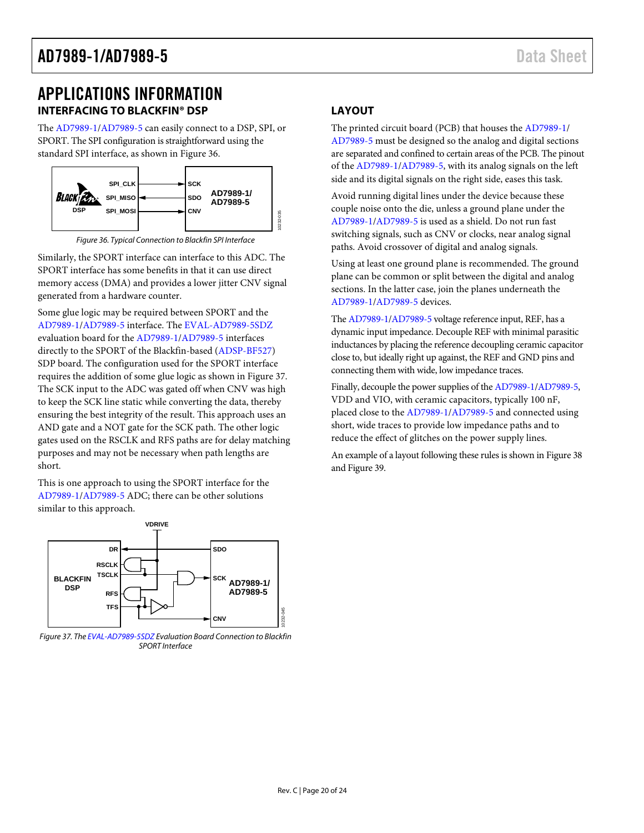# <span id="page-19-0"></span>APPLICATIONS INFORMATION **INTERFACING TO BLACKFIN® DSP**

<span id="page-19-1"></span>The [AD7989-1/](http://www.analog.com/AD7989-1?doc=ad7989-1_7989-5.pdf)[AD7989-5](http://www.analog.com/AD7989-5?doc=ad7989-1_7989-5.pdf) can easily connect to a DSP, SPI, or SPORT. The SPI configuration is straightforward using the standard SPI interface, as shown i[n Figure 36.](#page-19-3) 



*Figure 36. Typical Connection to Blackfin SPI Interface*

<span id="page-19-3"></span>Similarly, the SPORT interface can interface to this ADC. The SPORT interface has some benefits in that it can use direct memory access (DMA) and provides a lower jitter CNV signal generated from a hardware counter.

Some glue logic may be required between SPORT and the [AD7989-1/](http://www.analog.com/AD7989-1?doc=ad7989-1_7989-5.pdf)[AD7989-5](http://www.analog.com/AD7989-5?doc=ad7989-1_7989-5.pdf) interface. Th[e EVAL-AD7989-5SDZ](http://www.analog.com/eval-ad7989-5sdz?doc=ad7989-1_7989-5.pdf) evaluation board for the [AD7989-1/](http://www.analog.com/AD7989-1?doc=ad7989-1_7989-5.pdf)[AD7989-5](http://www.analog.com/AD7989-5?doc=ad7989-1_7989-5.pdf) interfaces directly to the SPORT of the Blackfin-based [\(ADSP-BF527\)](http://www.analog.com/ADSP-BF527?doc=ad7989-1_7989-5.pdf) SDP board. The configuration used for the SPORT interface requires the addition of some glue logic as shown i[n Figure 37.](#page-19-4)  The SCK input to the ADC was gated off when CNV was high to keep the SCK line static while converting the data, thereby ensuring the best integrity of the result. This approach uses an AND gate and a NOT gate for the SCK path. The other logic gates used on the RSCLK and RFS paths are for delay matching purposes and may not be necessary when path lengths are short.

This is one approach to using the SPORT interface for the [AD7989-1/](http://www.analog.com/AD7989-1?doc=ad7989-1_7989-5.pdf)[AD7989-5](http://www.analog.com/AD7989-5?doc=ad7989-1_7989-5.pdf) ADC; there can be other solutions similar to this approach.



<span id="page-19-4"></span>*Figure 37. Th[e EVAL-AD7989-5SDZ](http://www.analog.com/eval-ad7989-5sdz?doc=ad7989-1_7989-5.pdf) Evaluation Board Connection to Blackfin SPORT Interface*

# <span id="page-19-2"></span>**LAYOUT**

The printed circuit board (PCB) that houses th[e AD7989-1/](http://www.analog.com/AD7989-1?doc=ad7989-1_7989-5.pdf) [AD7989-5](http://www.analog.com/AD7989-5?doc=ad7989-1_7989-5.pdf) must be designed so the analog and digital sections are separated and confined to certain areas of the PCB. The pinout of the [AD7989-1/](http://www.analog.com/AD7989-1?doc=ad7989-1_7989-5.pdf)[AD7989-5,](http://www.analog.com/AD7989-5?doc=ad7989-1_7989-5.pdf) with its analog signals on the left side and its digital signals on the right side, eases this task.

Avoid running digital lines under the device because these couple noise onto the die, unless a ground plane under the [AD7989-1/](http://www.analog.com/AD7989-1?doc=ad7989-1_7989-5.pdf)[AD7989-5](http://www.analog.com/AD7989-5?doc=ad7989-1_7989-5.pdf) is used as a shield. Do not run fast switching signals, such as CNV or clocks, near analog signal paths. Avoid crossover of digital and analog signals.

Using at least one ground plane is recommended. The ground plane can be common or split between the digital and analog sections. In the latter case, join the planes underneath the [AD7989-1/](http://www.analog.com/AD7989-1?doc=ad7989-1_7989-5.pdf)[AD7989-5](http://www.analog.com/AD7989-5?doc=ad7989-1_7989-5.pdf) devices.

Th[e AD7989-1](http://www.analog.com/AD7989-1?doc=ad7989-1_7989-5.pdf)[/AD7989-5](http://www.analog.com/AD7989-5?doc=ad7989-1_7989-5.pdf) voltage reference input, REF, has a dynamic input impedance. Decouple REF with minimal parasitic inductances by placing the reference decoupling ceramic capacitor close to, but ideally right up against, the REF and GND pins and connecting them with wide, low impedance traces.

Finally, decouple the power supplies of th[e AD7989-1](http://www.analog.com/AD7989-1?doc=ad7989-1_7989-5.pdf)[/AD7989-5,](http://www.analog.com/AD7989-5?doc=ad7989-1_7989-5.pdf) VDD and VIO, with ceramic capacitors, typically 100 nF, placed close to the [AD7989-1](http://www.analog.com/AD7989-1?doc=ad7989-1_7989-5.pdf)[/AD7989-5](http://www.analog.com/AD7989-5?doc=ad7989-1_7989-5.pdf) and connected using short, wide traces to provide low impedance paths and to reduce the effect of glitches on the power supply lines.

An example of a layout following these rules is shown i[n Figure 38](#page-20-1) an[d Figure 39.](#page-20-2)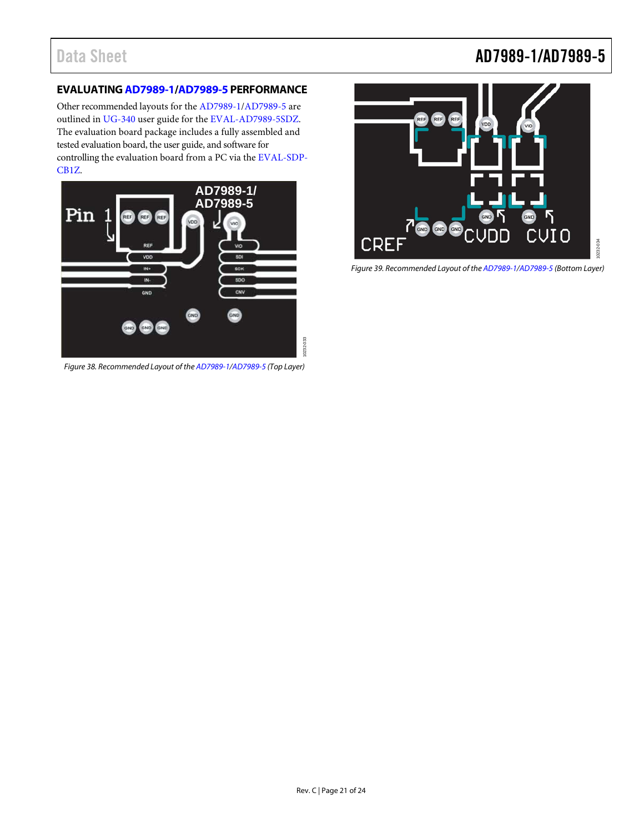# Data Sheet **AD7989-1/AD7989-5**

# <span id="page-20-0"></span>**EVALUATIN[G AD7989-1](http://www.analog.com/AD7989-1?doc=ad7989-1_7989-5.pdf)[/AD7989-5](http://www.analog.com/AD7989-5?doc=ad7989-1_7989-5.pdf) PERFORMANCE**

Other recommended layouts for th[e AD7989-1/](http://www.analog.com/AD7989-1?doc=ad7989-1_7989-5.pdf)[AD7989-5](http://www.analog.com/AD7989-5?doc=ad7989-1_7989-5.pdf) are outlined in [UG-340](http://www.analog.com/ug-340?doc=ad7989-1_7989-5.pdf) user guide for the [EVAL-AD7989-5SDZ.](http://www.analog.com/eval-ad7989-5sdz?doc=ad7989-1_7989-5.pdf) The evaluation board package includes a fully assembled and tested evaluation board, the user guide, and software for controlling the evaluation board from a PC via the [EVAL-SDP-](http://www.analog.com/eval-sdp-cb1z?doc=ad7989-1_7989-5.pdf)[CB1Z.](http://www.analog.com/eval-sdp-cb1z?doc=ad7989-1_7989-5.pdf)

<span id="page-20-1"></span>

*Figure 38. Recommended Layout of th[e AD7989-1/](http://www.analog.com/AD7989-1?doc=ad7989-1_7989-5.pdf)[AD7989-5](http://www.analog.com/AD7989-5?doc=ad7989-1_7989-5.pdf) (Top Layer)*

<span id="page-20-2"></span>

*Figure 39. Recommended Layout of th[e AD7989-1/](http://www.analog.com/AD7989-1?doc=ad7989-1_7989-5.pdf)[AD7989-5](http://www.analog.com/AD7989-5?doc=ad7989-1_7989-5.pdf) (Bottom Layer)*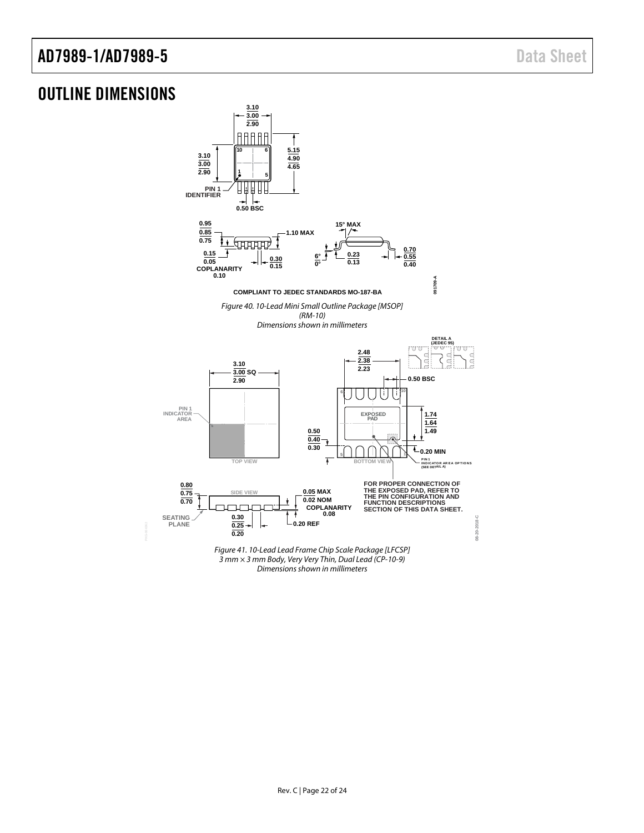# <span id="page-21-0"></span>OUTLINE DIMENSIONS



*Figure 41. 10-Lead Lead Frame Chip Scale Package [LFCSP] 3 mm × 3 mm Body, Very Very Thin, Dual Lead (CP-10-9) Dimensions shown in millimeters*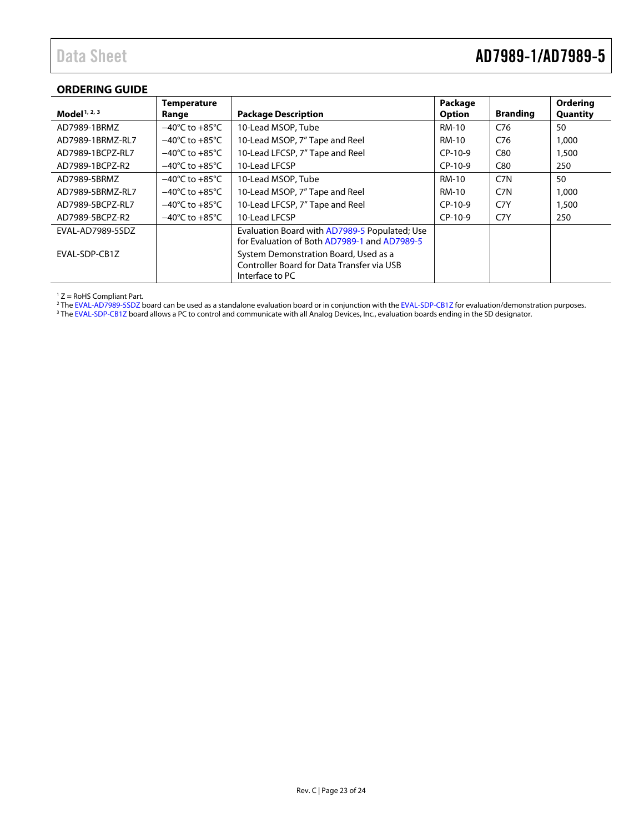# Data Sheet **AD7989-1/AD7989-5**

# <span id="page-22-0"></span>**ORDERING GUIDE**

|                          | <b>Temperature</b>                 |                                               | Package       |                  | Ordering        |
|--------------------------|------------------------------------|-----------------------------------------------|---------------|------------------|-----------------|
| Model <sup>1, 2, 3</sup> | Range                              | <b>Package Description</b>                    | <b>Option</b> | <b>Branding</b>  | <b>Quantity</b> |
| AD7989-1BRMZ             | $-40^{\circ}$ C to $+85^{\circ}$ C | 10-Lead MSOP, Tube                            | <b>RM-10</b>  | C76              | 50              |
| AD7989-1BRMZ-RL7         | $-40^{\circ}$ C to $+85^{\circ}$ C | 10-Lead MSOP, 7" Tape and Reel                | RM-10         | C <sub>76</sub>  | 1,000           |
| AD7989-1BCPZ-RL7         | $-40^{\circ}$ C to $+85^{\circ}$ C | 10-Lead LFCSP, 7" Tape and Reel               | $CP-10-9$     | C80              | 1,500           |
| AD7989-1BCPZ-R2          | $-40^{\circ}$ C to $+85^{\circ}$ C | 10-Lead LFCSP                                 | $CP-10-9$     | C80              | 250             |
| AD7989-5BRMZ             | $-40^{\circ}$ C to $+85^{\circ}$ C | 10-Lead MSOP, Tube                            | <b>RM-10</b>  | C <sub>7</sub> N | 50              |
| AD7989-5BRMZ-RL7         | $-40^{\circ}$ C to $+85^{\circ}$ C | 10-Lead MSOP, 7" Tape and Reel                | RM-10         | C <sub>7</sub> N | 1,000           |
| AD7989-5BCPZ-RL7         | $-40^{\circ}$ C to $+85^{\circ}$ C | 10-Lead LFCSP, 7" Tape and Reel               | $CP-10-9$     | C7Y              | 1,500           |
| AD7989-5BCPZ-R2          | $-40^{\circ}$ C to $+85^{\circ}$ C | 10-Lead LFCSP                                 | $CP-10-9$     | C7Y              | 250             |
| EVAL-AD7989-5SDZ         |                                    | Evaluation Board with AD7989-5 Populated; Use |               |                  |                 |
|                          |                                    | for Evaluation of Both AD7989-1 and AD7989-5  |               |                  |                 |
| EVAL-SDP-CB1Z            |                                    | System Demonstration Board, Used as a         |               |                  |                 |
|                          |                                    | Controller Board for Data Transfer via USB    |               |                  |                 |
|                          |                                    | Interface to PC                               |               |                  |                 |

 $1 Z =$  RoHS Compliant Part.

<sup>2</sup> Th[e EVAL-AD7989-5SDZ](http://www.analog.com/eval-ad7989-5sdz?doc=AD7989-1_AD7989-5.pdf) board can be used as a standalone evaluation board or in conjunction with th[e EVAL-SDP-CB1Z](http://www.analog.com/eval-sdp-cb1z?doc=ad7989-1_7989-5.pdf) for evaluation/demonstration purposes.

<sup>3</sup> Th[e EVAL-SDP-CB1Z](http://www.analog.com/eval-sdp-cb1z?doc=ad7989-1_7989-5.pdf) board allows a PC to control and communicate with all Analog Devices, Inc., evaluation boards ending in the SD designator.